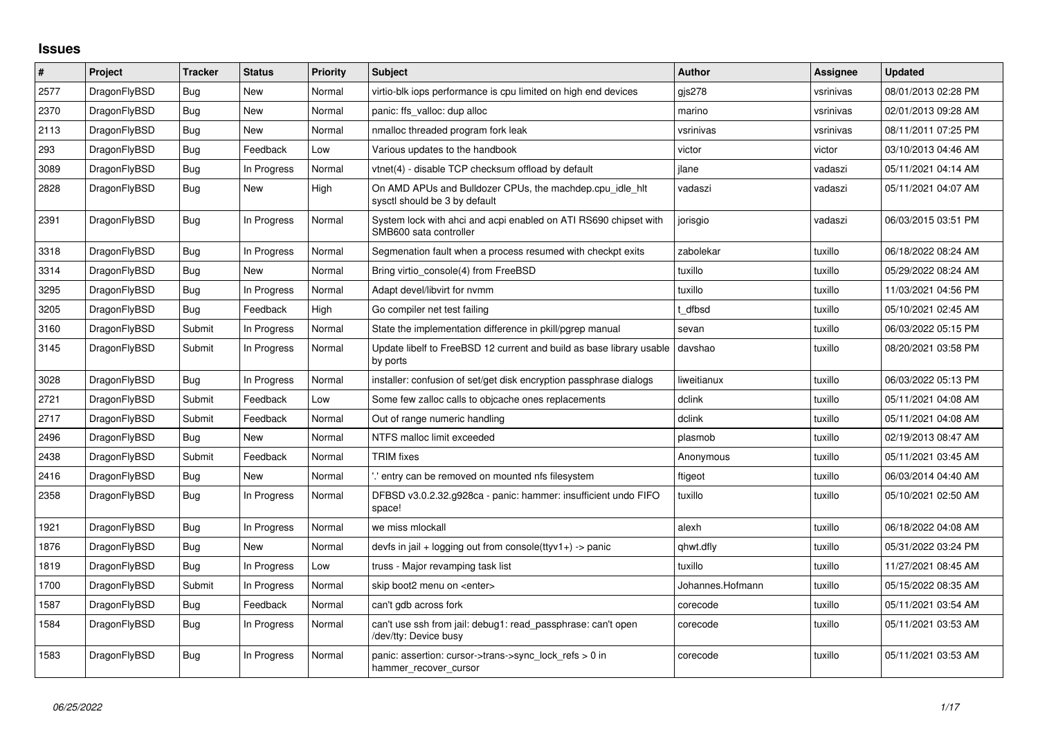## **Issues**

| $\vert$ # | Project      | <b>Tracker</b> | <b>Status</b> | Priority | <b>Subject</b>                                                                             | <b>Author</b>    | Assignee  | <b>Updated</b>      |
|-----------|--------------|----------------|---------------|----------|--------------------------------------------------------------------------------------------|------------------|-----------|---------------------|
| 2577      | DragonFlyBSD | Bug            | <b>New</b>    | Normal   | virtio-blk iops performance is cpu limited on high end devices                             | gis278           | vsrinivas | 08/01/2013 02:28 PM |
| 2370      | DragonFlyBSD | Bug            | New           | Normal   | panic: ffs_valloc: dup alloc                                                               | marino           | vsrinivas | 02/01/2013 09:28 AM |
| 2113      | DragonFlyBSD | Bug            | New           | Normal   | nmalloc threaded program fork leak                                                         | vsrinivas        | vsrinivas | 08/11/2011 07:25 PM |
| 293       | DragonFlyBSD | <b>Bug</b>     | Feedback      | Low      | Various updates to the handbook                                                            | victor           | victor    | 03/10/2013 04:46 AM |
| 3089      | DragonFlyBSD | Bug            | In Progress   | Normal   | vtnet(4) - disable TCP checksum offload by default                                         | ilane            | vadaszi   | 05/11/2021 04:14 AM |
| 2828      | DragonFlyBSD | Bug            | New           | High     | On AMD APUs and Bulldozer CPUs, the machdep.cpu_idle_hlt<br>sysctl should be 3 by default  | vadaszi          | vadaszi   | 05/11/2021 04:07 AM |
| 2391      | DragonFlyBSD | <b>Bug</b>     | In Progress   | Normal   | System lock with ahci and acpi enabled on ATI RS690 chipset with<br>SMB600 sata controller | jorisgio         | vadaszi   | 06/03/2015 03:51 PM |
| 3318      | DragonFlyBSD | <b>Bug</b>     | In Progress   | Normal   | Segmenation fault when a process resumed with checkpt exits                                | zabolekar        | tuxillo   | 06/18/2022 08:24 AM |
| 3314      | DragonFlyBSD | Bug            | <b>New</b>    | Normal   | Bring virtio console(4) from FreeBSD                                                       | tuxillo          | tuxillo   | 05/29/2022 08:24 AM |
| 3295      | DragonFlyBSD | Bug            | In Progress   | Normal   | Adapt devel/libvirt for nymm                                                               | tuxillo          | tuxillo   | 11/03/2021 04:56 PM |
| 3205      | DragonFlyBSD | <b>Bug</b>     | Feedback      | High     | Go compiler net test failing                                                               | t dfbsd          | tuxillo   | 05/10/2021 02:45 AM |
| 3160      | DragonFlyBSD | Submit         | In Progress   | Normal   | State the implementation difference in pkill/pgrep manual                                  | sevan            | tuxillo   | 06/03/2022 05:15 PM |
| 3145      | DragonFlyBSD | Submit         | In Progress   | Normal   | Update libelf to FreeBSD 12 current and build as base library usable<br>by ports           | davshao          | tuxillo   | 08/20/2021 03:58 PM |
| 3028      | DragonFlyBSD | <b>Bug</b>     | In Progress   | Normal   | installer: confusion of set/get disk encryption passphrase dialogs                         | liweitianux      | tuxillo   | 06/03/2022 05:13 PM |
| 2721      | DragonFlyBSD | Submit         | Feedback      | Low      | Some few zalloc calls to objcache ones replacements                                        | dclink           | tuxillo   | 05/11/2021 04:08 AM |
| 2717      | DragonFlyBSD | Submit         | Feedback      | Normal   | Out of range numeric handling                                                              | dclink           | tuxillo   | 05/11/2021 04:08 AM |
| 2496      | DragonFlyBSD | <b>Bug</b>     | New           | Normal   | NTFS malloc limit exceeded                                                                 | plasmob          | tuxillo   | 02/19/2013 08:47 AM |
| 2438      | DragonFlyBSD | Submit         | Feedback      | Normal   | <b>TRIM</b> fixes                                                                          | Anonymous        | tuxillo   | 05/11/2021 03:45 AM |
| 2416      | DragonFlyBSD | <b>Bug</b>     | New           | Normal   | ".' entry can be removed on mounted nfs filesystem                                         | ftigeot          | tuxillo   | 06/03/2014 04:40 AM |
| 2358      | DragonFlyBSD | Bug            | In Progress   | Normal   | DFBSD v3.0.2.32.g928ca - panic: hammer: insufficient undo FIFO<br>space!                   | tuxillo          | tuxillo   | 05/10/2021 02:50 AM |
| 1921      | DragonFlyBSD | <b>Bug</b>     | In Progress   | Normal   | we miss mlockall                                                                           | alexh            | tuxillo   | 06/18/2022 04:08 AM |
| 1876      | DragonFlyBSD | <b>Bug</b>     | <b>New</b>    | Normal   | devfs in jail + logging out from console(ttyv1+) -> panic                                  | qhwt.dfly        | tuxillo   | 05/31/2022 03:24 PM |
| 1819      | DragonFlyBSD | Bug            | In Progress   | Low      | truss - Major revamping task list                                                          | tuxillo          | tuxillo   | 11/27/2021 08:45 AM |
| 1700      | DragonFlyBSD | Submit         | In Progress   | Normal   | skip boot2 menu on <enter></enter>                                                         | Johannes.Hofmann | tuxillo   | 05/15/2022 08:35 AM |
| 1587      | DragonFlyBSD | Bug            | Feedback      | Normal   | can't gdb across fork                                                                      | corecode         | tuxillo   | 05/11/2021 03:54 AM |
| 1584      | DragonFlyBSD | Bug            | In Progress   | Normal   | can't use ssh from jail: debug1: read passphrase: can't open<br>/dev/tty: Device busy      | corecode         | tuxillo   | 05/11/2021 03:53 AM |
| 1583      | DragonFlyBSD | Bug            | In Progress   | Normal   | panic: assertion: cursor->trans->sync_lock_refs > 0 in<br>hammer_recover_cursor            | corecode         | tuxillo   | 05/11/2021 03:53 AM |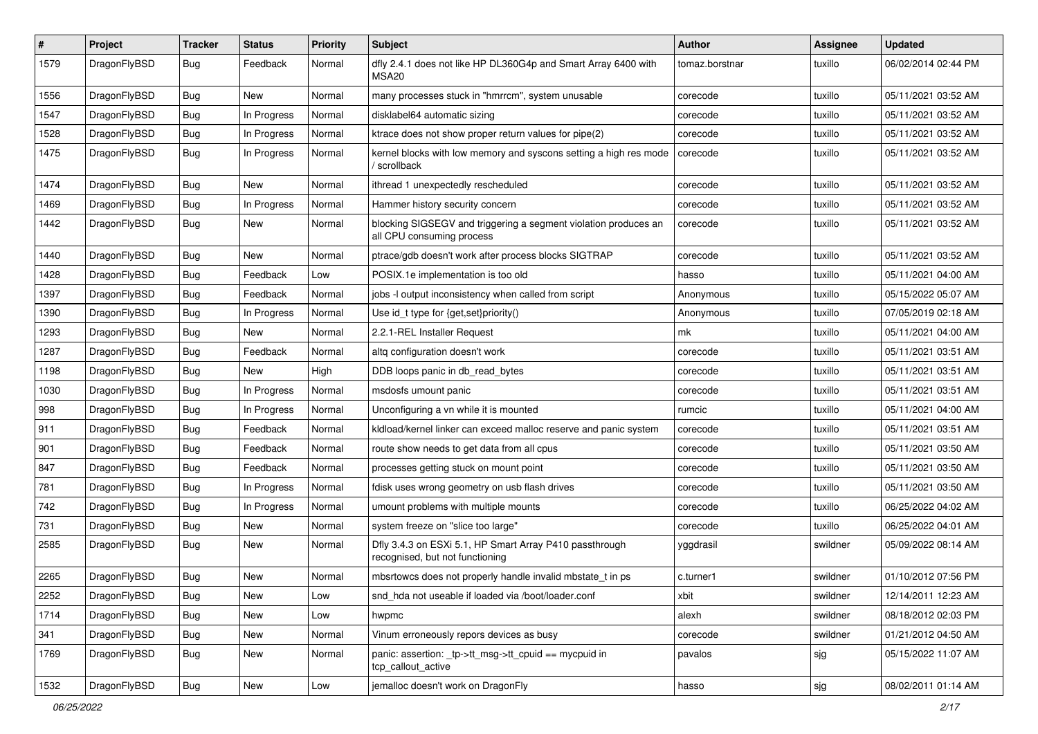| $\sharp$ | Project      | <b>Tracker</b> | <b>Status</b> | <b>Priority</b> | Subject                                                                                      | <b>Author</b>  | Assignee | <b>Updated</b>      |
|----------|--------------|----------------|---------------|-----------------|----------------------------------------------------------------------------------------------|----------------|----------|---------------------|
| 1579     | DragonFlyBSD | <b>Bug</b>     | Feedback      | Normal          | dfly 2.4.1 does not like HP DL360G4p and Smart Array 6400 with<br>MSA20                      | tomaz.borstnar | tuxillo  | 06/02/2014 02:44 PM |
| 1556     | DragonFlyBSD | <b>Bug</b>     | New           | Normal          | many processes stuck in "hmrrcm", system unusable                                            | corecode       | tuxillo  | 05/11/2021 03:52 AM |
| 1547     | DragonFlyBSD | <b>Bug</b>     | In Progress   | Normal          | disklabel64 automatic sizing                                                                 | corecode       | tuxillo  | 05/11/2021 03:52 AM |
| 1528     | DragonFlyBSD | <b>Bug</b>     | In Progress   | Normal          | ktrace does not show proper return values for pipe(2)                                        | corecode       | tuxillo  | 05/11/2021 03:52 AM |
| 1475     | DragonFlyBSD | <b>Bug</b>     | In Progress   | Normal          | kernel blocks with low memory and syscons setting a high res mode<br>/ scrollback            | corecode       | tuxillo  | 05/11/2021 03:52 AM |
| 1474     | DragonFlyBSD | <b>Bug</b>     | New           | Normal          | ithread 1 unexpectedly rescheduled                                                           | corecode       | tuxillo  | 05/11/2021 03:52 AM |
| 1469     | DragonFlyBSD | <b>Bug</b>     | In Progress   | Normal          | Hammer history security concern                                                              | corecode       | tuxillo  | 05/11/2021 03:52 AM |
| 1442     | DragonFlyBSD | <b>Bug</b>     | New           | Normal          | blocking SIGSEGV and triggering a segment violation produces an<br>all CPU consuming process | corecode       | tuxillo  | 05/11/2021 03:52 AM |
| 1440     | DragonFlyBSD | <b>Bug</b>     | New           | Normal          | ptrace/gdb doesn't work after process blocks SIGTRAP                                         | corecode       | tuxillo  | 05/11/2021 03:52 AM |
| 1428     | DragonFlyBSD | <b>Bug</b>     | Feedback      | Low             | POSIX.1e implementation is too old                                                           | hasso          | tuxillo  | 05/11/2021 04:00 AM |
| 1397     | DragonFlyBSD | Bug            | Feedback      | Normal          | jobs -I output inconsistency when called from script                                         | Anonymous      | tuxillo  | 05/15/2022 05:07 AM |
| 1390     | DragonFlyBSD | <b>Bug</b>     | In Progress   | Normal          | Use id_t type for {get,set}priority()                                                        | Anonymous      | tuxillo  | 07/05/2019 02:18 AM |
| 1293     | DragonFlyBSD | <b>Bug</b>     | New           | Normal          | 2.2.1-REL Installer Request                                                                  | mk             | tuxillo  | 05/11/2021 04:00 AM |
| 1287     | DragonFlyBSD | <b>Bug</b>     | Feedback      | Normal          | altg configuration doesn't work                                                              | corecode       | tuxillo  | 05/11/2021 03:51 AM |
| 1198     | DragonFlyBSD | <b>Bug</b>     | New           | High            | DDB loops panic in db_read_bytes                                                             | corecode       | tuxillo  | 05/11/2021 03:51 AM |
| 1030     | DragonFlyBSD | <b>Bug</b>     | In Progress   | Normal          | msdosfs umount panic                                                                         | corecode       | tuxillo  | 05/11/2021 03:51 AM |
| 998      | DragonFlyBSD | <b>Bug</b>     | In Progress   | Normal          | Unconfiguring a vn while it is mounted                                                       | rumcic         | tuxillo  | 05/11/2021 04:00 AM |
| 911      | DragonFlyBSD | Bug            | Feedback      | Normal          | kldload/kernel linker can exceed malloc reserve and panic system                             | corecode       | tuxillo  | 05/11/2021 03:51 AM |
| 901      | DragonFlyBSD | <b>Bug</b>     | Feedback      | Normal          | route show needs to get data from all cpus                                                   | corecode       | tuxillo  | 05/11/2021 03:50 AM |
| 847      | DragonFlyBSD | <b>Bug</b>     | Feedback      | Normal          | processes getting stuck on mount point                                                       | corecode       | tuxillo  | 05/11/2021 03:50 AM |
| 781      | DragonFlyBSD | <b>Bug</b>     | In Progress   | Normal          | fdisk uses wrong geometry on usb flash drives                                                | corecode       | tuxillo  | 05/11/2021 03:50 AM |
| 742      | DragonFlyBSD | <b>Bug</b>     | In Progress   | Normal          | umount problems with multiple mounts                                                         | corecode       | tuxillo  | 06/25/2022 04:02 AM |
| 731      | DragonFlyBSD | <b>Bug</b>     | New           | Normal          | system freeze on "slice too large"                                                           | corecode       | tuxillo  | 06/25/2022 04:01 AM |
| 2585     | DragonFlyBSD | <b>Bug</b>     | New           | Normal          | Dfly 3.4.3 on ESXi 5.1, HP Smart Array P410 passthrough<br>recognised, but not functioning   | yggdrasil      | swildner | 05/09/2022 08:14 AM |
| 2265     | DragonFlyBSD | Bug            | New           | Normal          | mbsrtowcs does not properly handle invalid mbstate t in ps                                   | c.turner1      | swildner | 01/10/2012 07:56 PM |
| 2252     | DragonFlyBSD | <b>Bug</b>     | New           | Low             | snd_hda not useable if loaded via /boot/loader.conf                                          | xbit           | swildner | 12/14/2011 12:23 AM |
| 1714     | DragonFlyBSD | <b>Bug</b>     | <b>New</b>    | Low             | hwpmc                                                                                        | alexh          | swildner | 08/18/2012 02:03 PM |
| 341      | DragonFlyBSD | <b>Bug</b>     | New           | Normal          | Vinum erroneously repors devices as busy                                                     | corecode       | swildner | 01/21/2012 04:50 AM |
| 1769     | DragonFlyBSD | <b>Bug</b>     | New           | Normal          | panic: assertion: _tp->tt_msg->tt_cpuid == mycpuid in<br>tcp_callout_active                  | pavalos        | sjg      | 05/15/2022 11:07 AM |
| 1532     | DragonFlyBSD | Bug            | New           | Low             | jemalloc doesn't work on DragonFly                                                           | hasso          | sjg      | 08/02/2011 01:14 AM |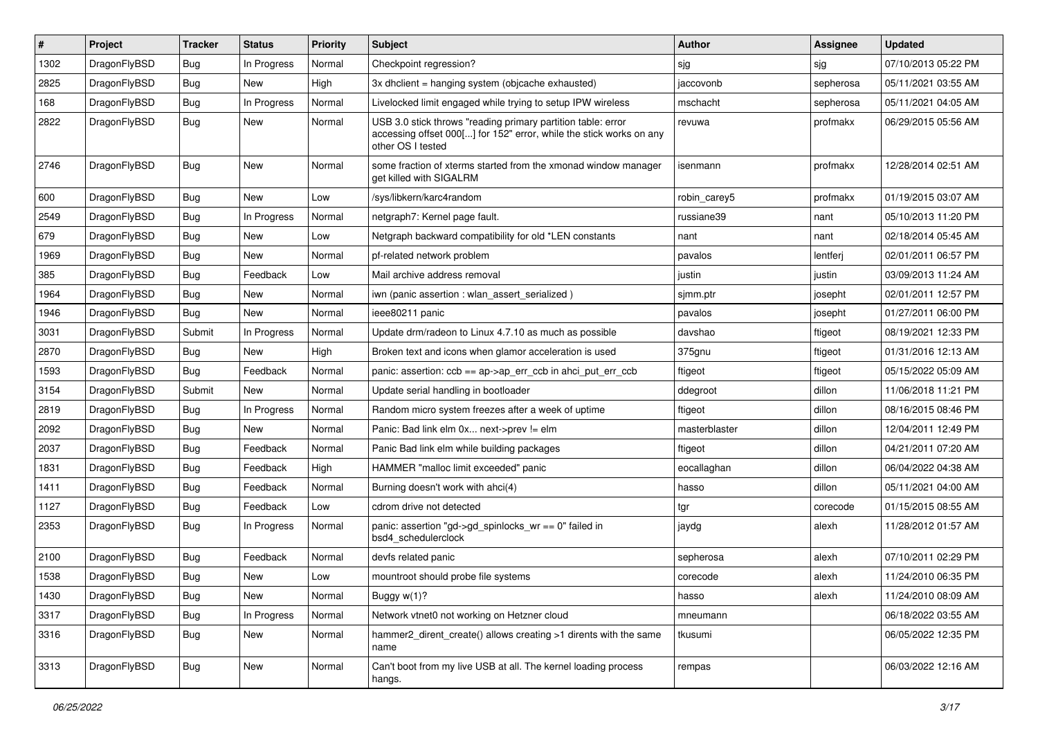| #    | Project      | <b>Tracker</b> | <b>Status</b> | <b>Priority</b> | Subject                                                                                                                                                  | <b>Author</b> | Assignee  | <b>Updated</b>      |
|------|--------------|----------------|---------------|-----------------|----------------------------------------------------------------------------------------------------------------------------------------------------------|---------------|-----------|---------------------|
| 1302 | DragonFlyBSD | <b>Bug</b>     | In Progress   | Normal          | Checkpoint regression?                                                                                                                                   | sjg           | sjg       | 07/10/2013 05:22 PM |
| 2825 | DragonFlyBSD | <b>Bug</b>     | <b>New</b>    | High            | 3x dhclient = hanging system (objcache exhausted)                                                                                                        | jaccovonb     | sepherosa | 05/11/2021 03:55 AM |
| 168  | DragonFlyBSD | <b>Bug</b>     | In Progress   | Normal          | Livelocked limit engaged while trying to setup IPW wireless                                                                                              | mschacht      | sepherosa | 05/11/2021 04:05 AM |
| 2822 | DragonFlyBSD | <b>Bug</b>     | New           | Normal          | USB 3.0 stick throws "reading primary partition table: error<br>accessing offset 000[] for 152" error, while the stick works on any<br>other OS I tested | revuwa        | profmakx  | 06/29/2015 05:56 AM |
| 2746 | DragonFlyBSD | <b>Bug</b>     | New           | Normal          | some fraction of xterms started from the xmonad window manager<br>get killed with SIGALRM                                                                | isenmann      | profmakx  | 12/28/2014 02:51 AM |
| 600  | DragonFlyBSD | <b>Bug</b>     | <b>New</b>    | Low             | /sys/libkern/karc4random                                                                                                                                 | robin carey5  | profmakx  | 01/19/2015 03:07 AM |
| 2549 | DragonFlyBSD | Bug            | In Progress   | Normal          | netgraph7: Kernel page fault.                                                                                                                            | russiane39    | nant      | 05/10/2013 11:20 PM |
| 679  | DragonFlyBSD | <b>Bug</b>     | New           | Low             | Netgraph backward compatibility for old *LEN constants                                                                                                   | nant          | nant      | 02/18/2014 05:45 AM |
| 1969 | DragonFlyBSD | <b>Bug</b>     | New           | Normal          | pf-related network problem                                                                                                                               | pavalos       | lentferj  | 02/01/2011 06:57 PM |
| 385  | DragonFlyBSD | <b>Bug</b>     | Feedback      | Low             | Mail archive address removal                                                                                                                             | justin        | justin    | 03/09/2013 11:24 AM |
| 1964 | DragonFlyBSD | <b>Bug</b>     | New           | Normal          | iwn (panic assertion : wlan_assert_serialized)                                                                                                           | sjmm.ptr      | josepht   | 02/01/2011 12:57 PM |
| 1946 | DragonFlyBSD | <b>Bug</b>     | New           | Normal          | ieee80211 panic                                                                                                                                          | pavalos       | josepht   | 01/27/2011 06:00 PM |
| 3031 | DragonFlyBSD | Submit         | In Progress   | Normal          | Update drm/radeon to Linux 4.7.10 as much as possible                                                                                                    | davshao       | ftigeot   | 08/19/2021 12:33 PM |
| 2870 | DragonFlyBSD | <b>Bug</b>     | <b>New</b>    | High            | Broken text and icons when glamor acceleration is used                                                                                                   | 375gnu        | ftigeot   | 01/31/2016 12:13 AM |
| 1593 | DragonFlyBSD | Bug            | Feedback      | Normal          | panic: assertion: $ccb = ap > ap$ err $ccb$ in ahci put err $ccb$                                                                                        | ftigeot       | ftigeot   | 05/15/2022 05:09 AM |
| 3154 | DragonFlyBSD | Submit         | <b>New</b>    | Normal          | Update serial handling in bootloader                                                                                                                     | ddegroot      | dillon    | 11/06/2018 11:21 PM |
| 2819 | DragonFlyBSD | Bug            | In Progress   | Normal          | Random micro system freezes after a week of uptime                                                                                                       | ftigeot       | dillon    | 08/16/2015 08:46 PM |
| 2092 | DragonFlyBSD | <b>Bug</b>     | New           | Normal          | Panic: Bad link elm 0x next->prev != elm                                                                                                                 | masterblaster | dillon    | 12/04/2011 12:49 PM |
| 2037 | DragonFlyBSD | <b>Bug</b>     | Feedback      | Normal          | Panic Bad link elm while building packages                                                                                                               | ftigeot       | dillon    | 04/21/2011 07:20 AM |
| 1831 | DragonFlyBSD | Bug            | Feedback      | High            | HAMMER "malloc limit exceeded" panic                                                                                                                     | eocallaghan   | dillon    | 06/04/2022 04:38 AM |
| 1411 | DragonFlyBSD | <b>Bug</b>     | Feedback      | Normal          | Burning doesn't work with ahci(4)                                                                                                                        | hasso         | dillon    | 05/11/2021 04:00 AM |
| 1127 | DragonFlyBSD | <b>Bug</b>     | Feedback      | Low             | cdrom drive not detected                                                                                                                                 | tgr           | corecode  | 01/15/2015 08:55 AM |
| 2353 | DragonFlyBSD | Bug            | In Progress   | Normal          | panic: assertion "gd->gd_spinlocks_wr == 0" failed in<br>bsd4 schedulerclock                                                                             | jaydg         | alexh     | 11/28/2012 01:57 AM |
| 2100 | DragonFlyBSD | Bug            | Feedback      | Normal          | devfs related panic                                                                                                                                      | sepherosa     | alexh     | 07/10/2011 02:29 PM |
| 1538 | DragonFlyBSD | <b>Bug</b>     | New           | Low             | mountroot should probe file systems                                                                                                                      | corecode      | alexh     | 11/24/2010 06:35 PM |
| 1430 | DragonFlyBSD | Bug            | New           | Normal          | Buggy w(1)?                                                                                                                                              | hasso         | alexh     | 11/24/2010 08:09 AM |
| 3317 | DragonFlyBSD | <b>Bug</b>     | In Progress   | Normal          | Network vtnet0 not working on Hetzner cloud                                                                                                              | mneumann      |           | 06/18/2022 03:55 AM |
| 3316 | DragonFlyBSD | <b>Bug</b>     | New           | Normal          | hammer2_dirent_create() allows creating >1 dirents with the same<br>name                                                                                 | tkusumi       |           | 06/05/2022 12:35 PM |
| 3313 | DragonFlyBSD | <b>Bug</b>     | New           | Normal          | Can't boot from my live USB at all. The kernel loading process<br>hangs.                                                                                 | rempas        |           | 06/03/2022 12:16 AM |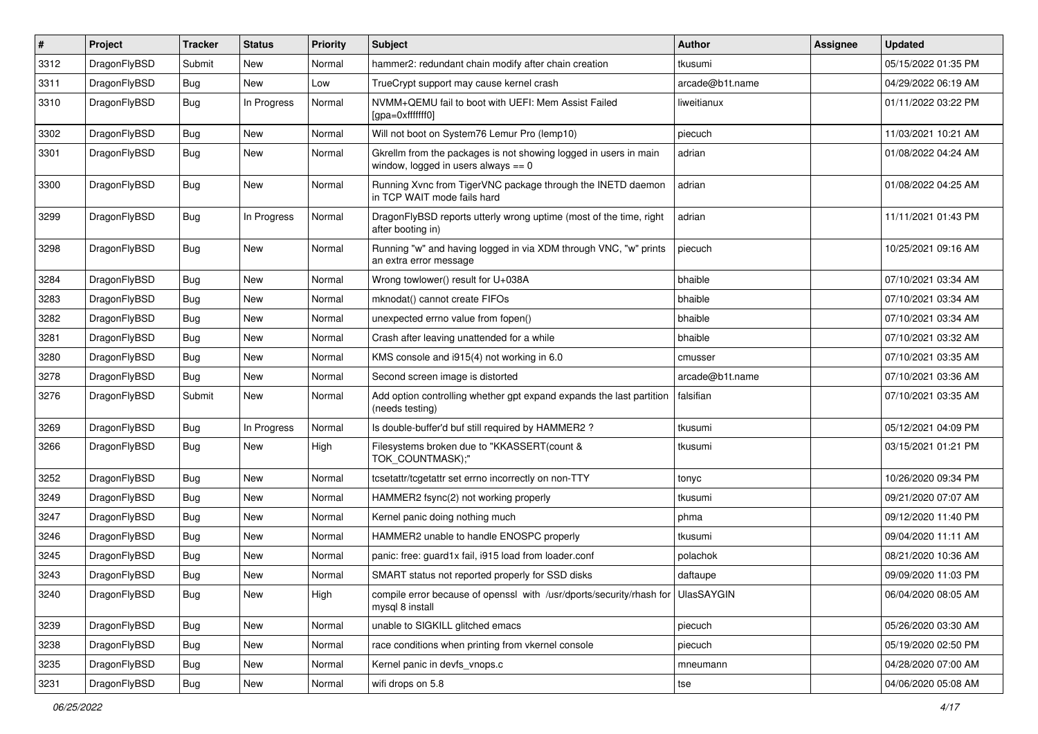| $\sharp$ | Project      | <b>Tracker</b> | <b>Status</b> | <b>Priority</b> | Subject                                                                                                   | <b>Author</b>   | Assignee | <b>Updated</b>      |
|----------|--------------|----------------|---------------|-----------------|-----------------------------------------------------------------------------------------------------------|-----------------|----------|---------------------|
| 3312     | DragonFlyBSD | Submit         | <b>New</b>    | Normal          | hammer2: redundant chain modify after chain creation                                                      | tkusumi         |          | 05/15/2022 01:35 PM |
| 3311     | DragonFlyBSD | Bug            | New           | Low             | TrueCrypt support may cause kernel crash                                                                  | arcade@b1t.name |          | 04/29/2022 06:19 AM |
| 3310     | DragonFlyBSD | <b>Bug</b>     | In Progress   | Normal          | NVMM+QEMU fail to boot with UEFI: Mem Assist Failed<br>[gpa=0xfffffff0]                                   | liweitianux     |          | 01/11/2022 03:22 PM |
| 3302     | DragonFlyBSD | Bug            | <b>New</b>    | Normal          | Will not boot on System76 Lemur Pro (lemp10)                                                              | piecuch         |          | 11/03/2021 10:21 AM |
| 3301     | DragonFlyBSD | <b>Bug</b>     | <b>New</b>    | Normal          | Gkrellm from the packages is not showing logged in users in main<br>window, logged in users always $== 0$ | adrian          |          | 01/08/2022 04:24 AM |
| 3300     | DragonFlyBSD | <b>Bug</b>     | New           | Normal          | Running Xvnc from TigerVNC package through the INETD daemon<br>in TCP WAIT mode fails hard                | adrian          |          | 01/08/2022 04:25 AM |
| 3299     | DragonFlyBSD | Bug            | In Progress   | Normal          | DragonFlyBSD reports utterly wrong uptime (most of the time, right<br>after booting in)                   | adrian          |          | 11/11/2021 01:43 PM |
| 3298     | DragonFlyBSD | Bug            | <b>New</b>    | Normal          | Running "w" and having logged in via XDM through VNC, "w" prints<br>an extra error message                | piecuch         |          | 10/25/2021 09:16 AM |
| 3284     | DragonFlyBSD | Bug            | <b>New</b>    | Normal          | Wrong towlower() result for U+038A                                                                        | bhaible         |          | 07/10/2021 03:34 AM |
| 3283     | DragonFlyBSD | <b>Bug</b>     | New           | Normal          | mknodat() cannot create FIFOs                                                                             | bhaible         |          | 07/10/2021 03:34 AM |
| 3282     | DragonFlyBSD | Bug            | <b>New</b>    | Normal          | unexpected errno value from fopen()                                                                       | bhaible         |          | 07/10/2021 03:34 AM |
| 3281     | DragonFlyBSD | <b>Bug</b>     | New           | Normal          | Crash after leaving unattended for a while                                                                | bhaible         |          | 07/10/2021 03:32 AM |
| 3280     | DragonFlyBSD | <b>Bug</b>     | <b>New</b>    | Normal          | KMS console and i915(4) not working in 6.0                                                                | cmusser         |          | 07/10/2021 03:35 AM |
| 3278     | DragonFlyBSD | Bug            | New           | Normal          | Second screen image is distorted                                                                          | arcade@b1t.name |          | 07/10/2021 03:36 AM |
| 3276     | DragonFlyBSD | Submit         | New           | Normal          | Add option controlling whether gpt expand expands the last partition<br>(needs testing)                   | falsifian       |          | 07/10/2021 03:35 AM |
| 3269     | DragonFlyBSD | Bug            | In Progress   | Normal          | Is double-buffer'd buf still required by HAMMER2 ?                                                        | tkusumi         |          | 05/12/2021 04:09 PM |
| 3266     | DragonFlyBSD | Bug            | New           | High            | Filesystems broken due to "KKASSERT(count &<br>TOK_COUNTMASK);"                                           | tkusumi         |          | 03/15/2021 01:21 PM |
| 3252     | DragonFlyBSD | Bug            | <b>New</b>    | Normal          | tcsetattr/tcgetattr set errno incorrectly on non-TTY                                                      | tonyc           |          | 10/26/2020 09:34 PM |
| 3249     | DragonFlyBSD | <b>Bug</b>     | <b>New</b>    | Normal          | HAMMER2 fsync(2) not working properly                                                                     | tkusumi         |          | 09/21/2020 07:07 AM |
| 3247     | DragonFlyBSD | <b>Bug</b>     | New           | Normal          | Kernel panic doing nothing much                                                                           | phma            |          | 09/12/2020 11:40 PM |
| 3246     | DragonFlyBSD | <b>Bug</b>     | <b>New</b>    | Normal          | HAMMER2 unable to handle ENOSPC properly                                                                  | tkusumi         |          | 09/04/2020 11:11 AM |
| 3245     | DragonFlyBSD | Bug            | <b>New</b>    | Normal          | panic: free: guard1x fail, i915 load from loader.conf                                                     | polachok        |          | 08/21/2020 10:36 AM |
| 3243     | DragonFlyBSD | <b>Bug</b>     | New           | Normal          | SMART status not reported properly for SSD disks                                                          | daftaupe        |          | 09/09/2020 11:03 PM |
| 3240     | DragonFlyBSD | Bug            | New           | High            | compile error because of openssl with /usr/dports/security/rhash for UlasSAYGIN<br>mysql 8 install        |                 |          | 06/04/2020 08:05 AM |
| 3239     | DragonFlyBSD | <b>Bug</b>     | New           | Normal          | unable to SIGKILL glitched emacs                                                                          | piecuch         |          | 05/26/2020 03:30 AM |
| 3238     | DragonFlyBSD | Bug            | New           | Normal          | race conditions when printing from vkernel console                                                        | piecuch         |          | 05/19/2020 02:50 PM |
| 3235     | DragonFlyBSD | <b>Bug</b>     | New           | Normal          | Kernel panic in devfs vnops.c                                                                             | mneumann        |          | 04/28/2020 07:00 AM |
| 3231     | DragonFlyBSD | Bug            | New           | Normal          | wifi drops on 5.8                                                                                         | tse             |          | 04/06/2020 05:08 AM |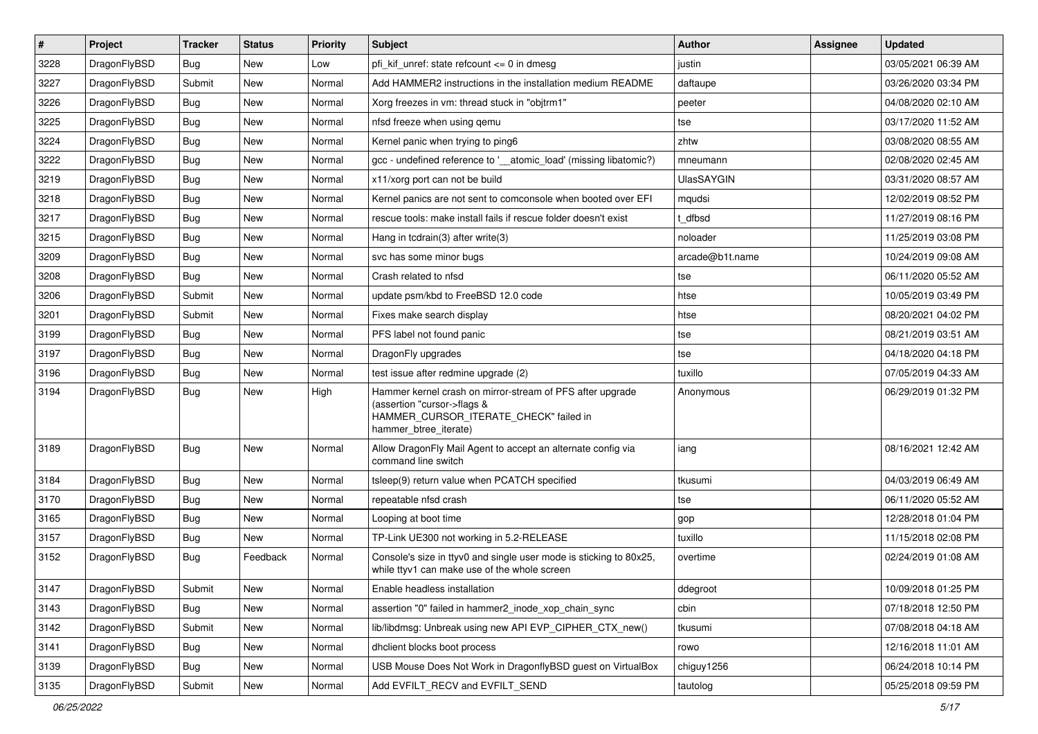| $\vert$ # | Project      | <b>Tracker</b> | <b>Status</b> | <b>Priority</b> | Subject                                                                                                                                                     | <b>Author</b>     | Assignee | <b>Updated</b>      |
|-----------|--------------|----------------|---------------|-----------------|-------------------------------------------------------------------------------------------------------------------------------------------------------------|-------------------|----------|---------------------|
| 3228      | DragonFlyBSD | <b>Bug</b>     | New           | Low             | pfi kif unref: state refcount $\leq$ 0 in dmesg                                                                                                             | justin            |          | 03/05/2021 06:39 AM |
| 3227      | DragonFlyBSD | Submit         | <b>New</b>    | Normal          | Add HAMMER2 instructions in the installation medium README                                                                                                  | daftaupe          |          | 03/26/2020 03:34 PM |
| 3226      | DragonFlyBSD | <b>Bug</b>     | <b>New</b>    | Normal          | Xorg freezes in vm: thread stuck in "objtrm1"                                                                                                               | peeter            |          | 04/08/2020 02:10 AM |
| 3225      | DragonFlyBSD | <b>Bug</b>     | New           | Normal          | nfsd freeze when using gemu                                                                                                                                 | tse               |          | 03/17/2020 11:52 AM |
| 3224      | DragonFlyBSD | Bug            | <b>New</b>    | Normal          | Kernel panic when trying to ping6                                                                                                                           | zhtw              |          | 03/08/2020 08:55 AM |
| 3222      | DragonFlyBSD | <b>Bug</b>     | New           | Normal          | gcc - undefined reference to '_atomic_load' (missing libatomic?)                                                                                            | mneumann          |          | 02/08/2020 02:45 AM |
| 3219      | DragonFlyBSD | <b>Bug</b>     | New           | Normal          | x11/xorg port can not be build                                                                                                                              | <b>UlasSAYGIN</b> |          | 03/31/2020 08:57 AM |
| 3218      | DragonFlyBSD | <b>Bug</b>     | New           | Normal          | Kernel panics are not sent to comconsole when booted over EFI                                                                                               | mqudsi            |          | 12/02/2019 08:52 PM |
| 3217      | DragonFlyBSD | <b>Bug</b>     | <b>New</b>    | Normal          | rescue tools: make install fails if rescue folder doesn't exist                                                                                             | t dfbsd           |          | 11/27/2019 08:16 PM |
| 3215      | DragonFlyBSD | Bug            | New           | Normal          | Hang in tcdrain(3) after write(3)                                                                                                                           | noloader          |          | 11/25/2019 03:08 PM |
| 3209      | DragonFlyBSD | <b>Bug</b>     | <b>New</b>    | Normal          | svc has some minor bugs                                                                                                                                     | arcade@b1t.name   |          | 10/24/2019 09:08 AM |
| 3208      | DragonFlyBSD | <b>Bug</b>     | New           | Normal          | Crash related to nfsd                                                                                                                                       | tse               |          | 06/11/2020 05:52 AM |
| 3206      | DragonFlyBSD | Submit         | New           | Normal          | update psm/kbd to FreeBSD 12.0 code                                                                                                                         | htse              |          | 10/05/2019 03:49 PM |
| 3201      | DragonFlyBSD | Submit         | New           | Normal          | Fixes make search display                                                                                                                                   | htse              |          | 08/20/2021 04:02 PM |
| 3199      | DragonFlyBSD | Bug            | New           | Normal          | PFS label not found panic                                                                                                                                   | tse               |          | 08/21/2019 03:51 AM |
| 3197      | DragonFlyBSD | <b>Bug</b>     | New           | Normal          | DragonFly upgrades                                                                                                                                          | tse               |          | 04/18/2020 04:18 PM |
| 3196      | DragonFlyBSD | <b>Bug</b>     | New           | Normal          | test issue after redmine upgrade (2)                                                                                                                        | tuxillo           |          | 07/05/2019 04:33 AM |
| 3194      | DragonFlyBSD | Bug            | New           | High            | Hammer kernel crash on mirror-stream of PFS after upgrade<br>(assertion "cursor->flags &<br>HAMMER_CURSOR_ITERATE_CHECK" failed in<br>hammer_btree_iterate) | Anonymous         |          | 06/29/2019 01:32 PM |
| 3189      | DragonFlyBSD | Bug            | New           | Normal          | Allow DragonFly Mail Agent to accept an alternate config via<br>command line switch                                                                         | iang              |          | 08/16/2021 12:42 AM |
| 3184      | DragonFlyBSD | Bug            | <b>New</b>    | Normal          | tsleep(9) return value when PCATCH specified                                                                                                                | tkusumi           |          | 04/03/2019 06:49 AM |
| 3170      | DragonFlyBSD | Bug            | <b>New</b>    | Normal          | repeatable nfsd crash                                                                                                                                       | tse               |          | 06/11/2020 05:52 AM |
| 3165      | DragonFlyBSD | Bug            | New           | Normal          | Looping at boot time                                                                                                                                        | gop               |          | 12/28/2018 01:04 PM |
| 3157      | DragonFlyBSD | <b>Bug</b>     | New           | Normal          | TP-Link UE300 not working in 5.2-RELEASE                                                                                                                    | tuxillo           |          | 11/15/2018 02:08 PM |
| 3152      | DragonFlyBSD | <b>Bug</b>     | Feedback      | Normal          | Console's size in ttyv0 and single user mode is sticking to 80x25.<br>while ttyv1 can make use of the whole screen                                          | overtime          |          | 02/24/2019 01:08 AM |
| 3147      | DragonFlyBSD | Submit         | <b>New</b>    | Normal          | Enable headless installation                                                                                                                                | ddegroot          |          | 10/09/2018 01:25 PM |
| 3143      | DragonFlyBSD | Bug            | <b>New</b>    | Normal          | assertion "0" failed in hammer2_inode_xop_chain_sync                                                                                                        | cbin              |          | 07/18/2018 12:50 PM |
| 3142      | DragonFlyBSD | Submit         | New           | Normal          | lib/libdmsg: Unbreak using new API EVP CIPHER CTX new()                                                                                                     | tkusumi           |          | 07/08/2018 04:18 AM |
| 3141      | DragonFlyBSD | <b>Bug</b>     | <b>New</b>    | Normal          | dhclient blocks boot process                                                                                                                                | rowo              |          | 12/16/2018 11:01 AM |
| 3139      | DragonFlyBSD | Bug            | New           | Normal          | USB Mouse Does Not Work in DragonflyBSD guest on VirtualBox                                                                                                 | chiguy1256        |          | 06/24/2018 10:14 PM |
| 3135      | DragonFlyBSD | Submit         | New           | Normal          | Add EVFILT RECV and EVFILT SEND                                                                                                                             | tautolog          |          | 05/25/2018 09:59 PM |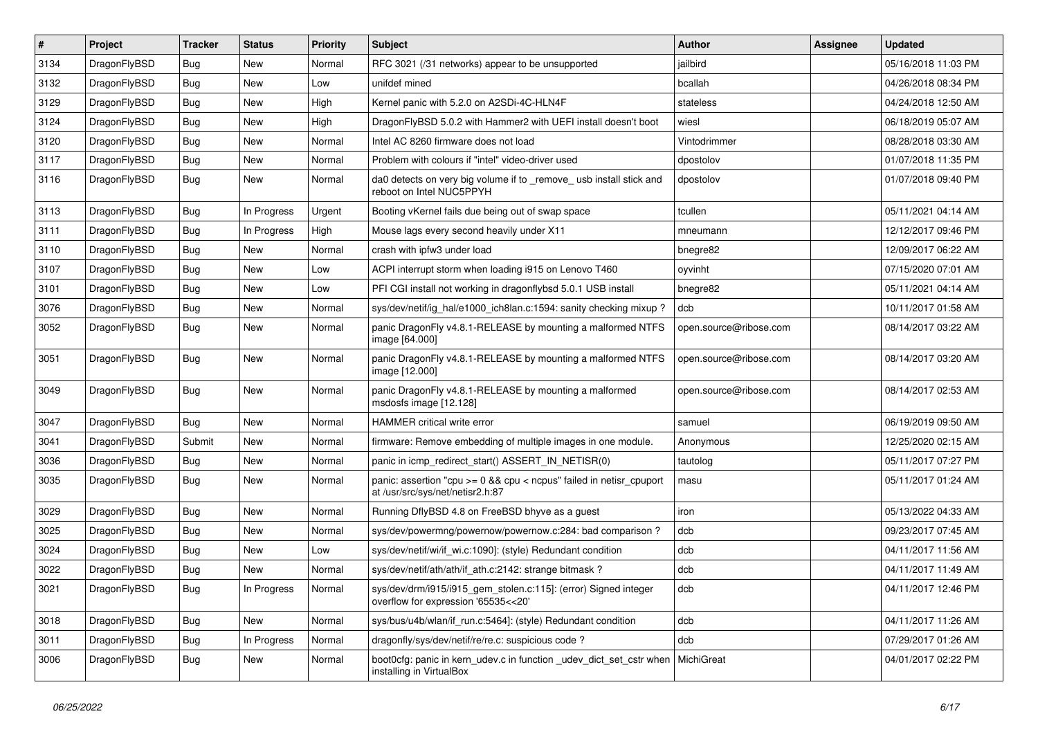| $\sharp$ | Project      | <b>Tracker</b> | <b>Status</b> | <b>Priority</b> | Subject                                                                                                 | Author                 | Assignee | <b>Updated</b>      |
|----------|--------------|----------------|---------------|-----------------|---------------------------------------------------------------------------------------------------------|------------------------|----------|---------------------|
| 3134     | DragonFlyBSD | <b>Bug</b>     | New           | Normal          | RFC 3021 (/31 networks) appear to be unsupported                                                        | jailbird               |          | 05/16/2018 11:03 PM |
| 3132     | DragonFlyBSD | Bug            | New           | Low             | unifdef mined                                                                                           | bcallah                |          | 04/26/2018 08:34 PM |
| 3129     | DragonFlyBSD | Bug            | New           | High            | Kernel panic with 5.2.0 on A2SDi-4C-HLN4F                                                               | stateless              |          | 04/24/2018 12:50 AM |
| 3124     | DragonFlyBSD | Bug            | New           | High            | DragonFlyBSD 5.0.2 with Hammer2 with UEFI install doesn't boot                                          | wiesl                  |          | 06/18/2019 05:07 AM |
| 3120     | DragonFlyBSD | <b>Bug</b>     | New           | Normal          | Intel AC 8260 firmware does not load                                                                    | Vintodrimmer           |          | 08/28/2018 03:30 AM |
| 3117     | DragonFlyBSD | <b>Bug</b>     | <b>New</b>    | Normal          | Problem with colours if "intel" video-driver used                                                       | dpostolov              |          | 01/07/2018 11:35 PM |
| 3116     | DragonFlyBSD | <b>Bug</b>     | New           | Normal          | da0 detects on very big volume if to _remove_ usb install stick and<br>reboot on Intel NUC5PPYH         | dpostolov              |          | 01/07/2018 09:40 PM |
| 3113     | DragonFlyBSD | <b>Bug</b>     | In Progress   | Urgent          | Booting vKernel fails due being out of swap space                                                       | tcullen                |          | 05/11/2021 04:14 AM |
| 3111     | DragonFlyBSD | Bug            | In Progress   | High            | Mouse lags every second heavily under X11                                                               | mneumann               |          | 12/12/2017 09:46 PM |
| 3110     | DragonFlyBSD | <b>Bug</b>     | New           | Normal          | crash with ipfw3 under load                                                                             | bnegre82               |          | 12/09/2017 06:22 AM |
| 3107     | DragonFlyBSD | <b>Bug</b>     | New           | Low             | ACPI interrupt storm when loading i915 on Lenovo T460                                                   | oyvinht                |          | 07/15/2020 07:01 AM |
| 3101     | DragonFlyBSD | <b>Bug</b>     | New           | Low             | PFI CGI install not working in dragonflybsd 5.0.1 USB install                                           | bnegre82               |          | 05/11/2021 04:14 AM |
| 3076     | DragonFlyBSD | <b>Bug</b>     | <b>New</b>    | Normal          | sys/dev/netif/ig hal/e1000 ich8lan.c:1594: sanity checking mixup?                                       | dcb                    |          | 10/11/2017 01:58 AM |
| 3052     | DragonFlyBSD | <b>Bug</b>     | New           | Normal          | panic DragonFly v4.8.1-RELEASE by mounting a malformed NTFS<br>image [64.000]                           | open.source@ribose.com |          | 08/14/2017 03:22 AM |
| 3051     | DragonFlyBSD | Bug            | New           | Normal          | panic DragonFly v4.8.1-RELEASE by mounting a malformed NTFS<br>image [12.000]                           | open.source@ribose.com |          | 08/14/2017 03:20 AM |
| 3049     | DragonFlyBSD | Bug            | <b>New</b>    | Normal          | panic DragonFly v4.8.1-RELEASE by mounting a malformed<br>msdosfs image [12.128]                        | open.source@ribose.com |          | 08/14/2017 02:53 AM |
| 3047     | DragonFlyBSD | Bug            | <b>New</b>    | Normal          | HAMMER critical write error                                                                             | samuel                 |          | 06/19/2019 09:50 AM |
| 3041     | DragonFlyBSD | Submit         | <b>New</b>    | Normal          | firmware: Remove embedding of multiple images in one module.                                            | Anonymous              |          | 12/25/2020 02:15 AM |
| 3036     | DragonFlyBSD | <b>Bug</b>     | <b>New</b>    | Normal          | panic in icmp_redirect_start() ASSERT_IN_NETISR(0)                                                      | tautolog               |          | 05/11/2017 07:27 PM |
| 3035     | DragonFlyBSD | <b>Bug</b>     | <b>New</b>    | Normal          | panic: assertion "cpu >= 0 && cpu < ncpus" failed in netisr_cpuport<br>at /usr/src/sys/net/netisr2.h:87 | masu                   |          | 05/11/2017 01:24 AM |
| 3029     | DragonFlyBSD | Bug            | <b>New</b>    | Normal          | Running DflyBSD 4.8 on FreeBSD bhyve as a guest                                                         | iron                   |          | 05/13/2022 04:33 AM |
| 3025     | DragonFlyBSD | Bug            | New           | Normal          | sys/dev/powermng/powernow/powernow.c:284: bad comparison ?                                              | dcb                    |          | 09/23/2017 07:45 AM |
| 3024     | DragonFlyBSD | <b>Bug</b>     | <b>New</b>    | Low             | sys/dev/netif/wi/if_wi.c:1090]: (style) Redundant condition                                             | dcb                    |          | 04/11/2017 11:56 AM |
| 3022     | DragonFlyBSD | <b>Bug</b>     | New           | Normal          | sys/dev/netif/ath/ath/if_ath.c:2142: strange bitmask?                                                   | dcb                    |          | 04/11/2017 11:49 AM |
| 3021     | DragonFlyBSD | <b>Bug</b>     | In Progress   | Normal          | sys/dev/drm/i915/i915_gem_stolen.c:115]: (error) Signed integer<br>overflow for expression '65535<<20'  | dcb                    |          | 04/11/2017 12:46 PM |
| 3018     | DragonFlyBSD | <b>Bug</b>     | <b>New</b>    | Normal          | sys/bus/u4b/wlan/if_run.c:5464]: (style) Redundant condition                                            | dcb                    |          | 04/11/2017 11:26 AM |
| 3011     | DragonFlyBSD | <b>Bug</b>     | In Progress   | Normal          | dragonfly/sys/dev/netif/re/re.c: suspicious code?                                                       | dcb                    |          | 07/29/2017 01:26 AM |
| 3006     | DragonFlyBSD | <b>Bug</b>     | New           | Normal          | boot0cfg: panic in kern udev.c in function udev dict set cstr when<br>installing in VirtualBox          | MichiGreat             |          | 04/01/2017 02:22 PM |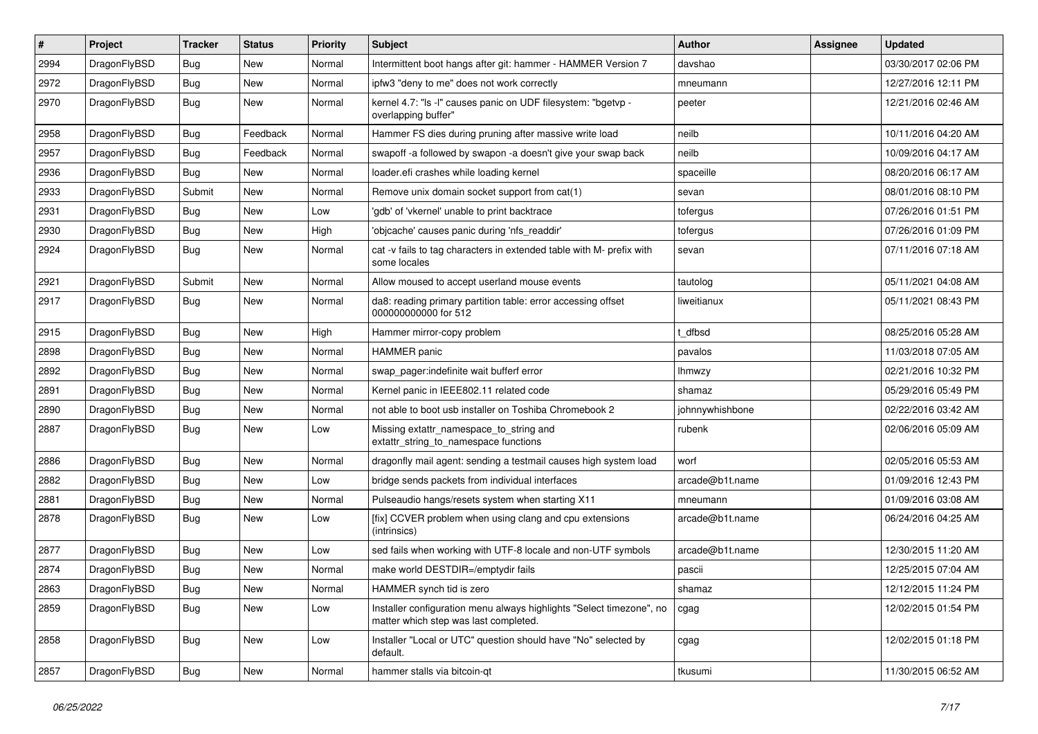| #    | Project      | <b>Tracker</b> | <b>Status</b> | <b>Priority</b> | Subject                                                                                                       | <b>Author</b>   | Assignee | <b>Updated</b>      |
|------|--------------|----------------|---------------|-----------------|---------------------------------------------------------------------------------------------------------------|-----------------|----------|---------------------|
| 2994 | DragonFlyBSD | <b>Bug</b>     | <b>New</b>    | Normal          | Intermittent boot hangs after git: hammer - HAMMER Version 7                                                  | davshao         |          | 03/30/2017 02:06 PM |
| 2972 | DragonFlyBSD | Bug            | <b>New</b>    | Normal          | ipfw3 "deny to me" does not work correctly                                                                    | mneumann        |          | 12/27/2016 12:11 PM |
| 2970 | DragonFlyBSD | Bug            | New           | Normal          | kernel 4.7: "Is -l" causes panic on UDF filesystem: "bgetvp -<br>overlapping buffer"                          | peeter          |          | 12/21/2016 02:46 AM |
| 2958 | DragonFlyBSD | Bug            | Feedback      | Normal          | Hammer FS dies during pruning after massive write load                                                        | neilb           |          | 10/11/2016 04:20 AM |
| 2957 | DragonFlyBSD | <b>Bug</b>     | Feedback      | Normal          | swapoff -a followed by swapon -a doesn't give your swap back                                                  | neilb           |          | 10/09/2016 04:17 AM |
| 2936 | DragonFlyBSD | Bug            | New           | Normal          | loader.efi crashes while loading kernel                                                                       | spaceille       |          | 08/20/2016 06:17 AM |
| 2933 | DragonFlyBSD | Submit         | New           | Normal          | Remove unix domain socket support from cat(1)                                                                 | sevan           |          | 08/01/2016 08:10 PM |
| 2931 | DragonFlyBSD | <b>Bug</b>     | New           | Low             | 'gdb' of 'vkernel' unable to print backtrace                                                                  | tofergus        |          | 07/26/2016 01:51 PM |
| 2930 | DragonFlyBSD | Bug            | <b>New</b>    | High            | 'objcache' causes panic during 'nfs_readdir'                                                                  | tofergus        |          | 07/26/2016 01:09 PM |
| 2924 | DragonFlyBSD | <b>Bug</b>     | New           | Normal          | cat -v fails to tag characters in extended table with M- prefix with<br>some locales                          | sevan           |          | 07/11/2016 07:18 AM |
| 2921 | DragonFlyBSD | Submit         | New           | Normal          | Allow moused to accept userland mouse events                                                                  | tautolog        |          | 05/11/2021 04:08 AM |
| 2917 | DragonFlyBSD | Bug            | New           | Normal          | da8: reading primary partition table: error accessing offset<br>000000000000 for 512                          | liweitianux     |          | 05/11/2021 08:43 PM |
| 2915 | DragonFlyBSD | Bug            | <b>New</b>    | High            | Hammer mirror-copy problem                                                                                    | t dfbsd         |          | 08/25/2016 05:28 AM |
| 2898 | DragonFlyBSD | <b>Bug</b>     | New           | Normal          | <b>HAMMER</b> panic                                                                                           | pavalos         |          | 11/03/2018 07:05 AM |
| 2892 | DragonFlyBSD | Bug            | New           | Normal          | swap pager:indefinite wait bufferf error                                                                      | <b>Ihmwzy</b>   |          | 02/21/2016 10:32 PM |
| 2891 | DragonFlyBSD | <b>Bug</b>     | New           | Normal          | Kernel panic in IEEE802.11 related code                                                                       | shamaz          |          | 05/29/2016 05:49 PM |
| 2890 | DragonFlyBSD | <b>Bug</b>     | <b>New</b>    | Normal          | not able to boot usb installer on Toshiba Chromebook 2                                                        | johnnywhishbone |          | 02/22/2016 03:42 AM |
| 2887 | DragonFlyBSD | <b>Bug</b>     | New           | Low             | Missing extattr_namespace_to_string and<br>extattr_string_to_namespace functions                              | rubenk          |          | 02/06/2016 05:09 AM |
| 2886 | DragonFlyBSD | Bug            | New           | Normal          | dragonfly mail agent: sending a testmail causes high system load                                              | worf            |          | 02/05/2016 05:53 AM |
| 2882 | DragonFlyBSD | <b>Bug</b>     | <b>New</b>    | Low             | bridge sends packets from individual interfaces                                                               | arcade@b1t.name |          | 01/09/2016 12:43 PM |
| 2881 | DragonFlyBSD | <b>Bug</b>     | New           | Normal          | Pulseaudio hangs/resets system when starting X11                                                              | mneumann        |          | 01/09/2016 03:08 AM |
| 2878 | DragonFlyBSD | Bug            | New           | Low             | [fix] CCVER problem when using clang and cpu extensions<br>(intrinsics)                                       | arcade@b1t.name |          | 06/24/2016 04:25 AM |
| 2877 | DragonFlyBSD | Bug            | New           | Low             | sed fails when working with UTF-8 locale and non-UTF symbols                                                  | arcade@b1t.name |          | 12/30/2015 11:20 AM |
| 2874 | DragonFlyBSD | <b>Bug</b>     | New           | Normal          | make world DESTDIR=/emptydir fails                                                                            | pascii          |          | 12/25/2015 07:04 AM |
| 2863 | DragonFlyBSD | <b>Bug</b>     | New           | Normal          | HAMMER synch tid is zero                                                                                      | snamaz          |          | 12/12/2015 11:24 PM |
| 2859 | DragonFlyBSD | <b>Bug</b>     | New           | Low             | Installer configuration menu always highlights "Select timezone", no<br>matter which step was last completed. | cgag            |          | 12/02/2015 01:54 PM |
| 2858 | DragonFlyBSD | <b>Bug</b>     | New           | Low             | Installer "Local or UTC" question should have "No" selected by<br>default.                                    | cgag            |          | 12/02/2015 01:18 PM |
| 2857 | DragonFlyBSD | <b>Bug</b>     | New           | Normal          | hammer stalls via bitcoin-qt                                                                                  | tkusumi         |          | 11/30/2015 06:52 AM |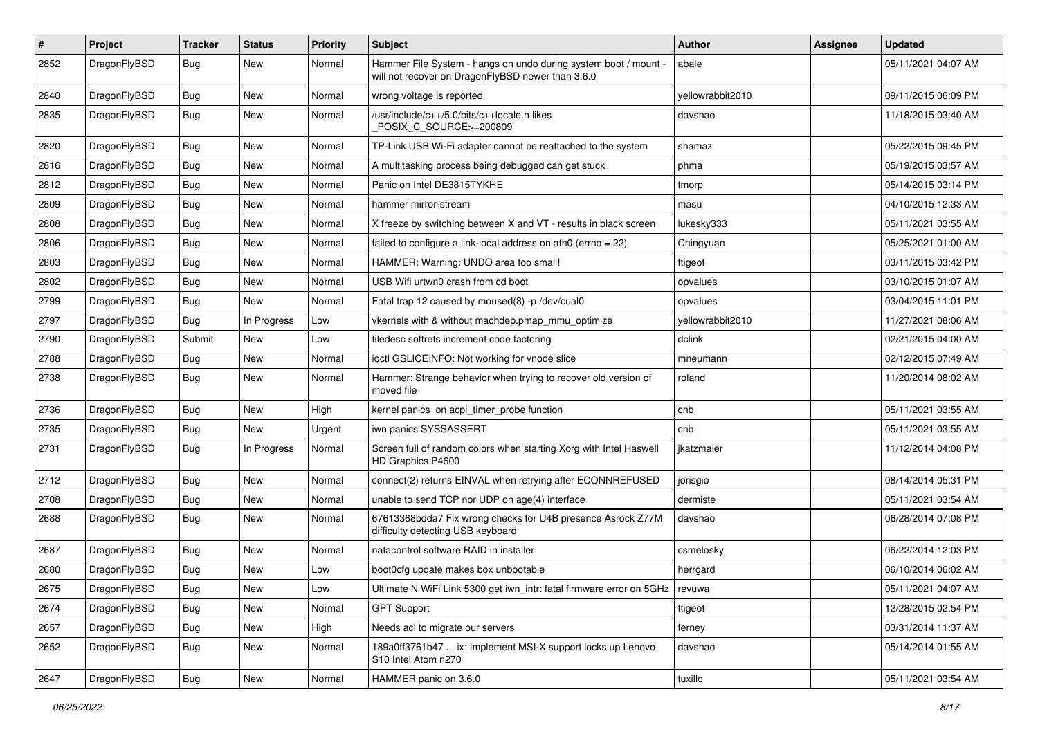| $\pmb{\#}$ | Project      | <b>Tracker</b> | <b>Status</b> | <b>Priority</b> | <b>Subject</b>                                                                                                       | Author           | Assignee | <b>Updated</b>      |
|------------|--------------|----------------|---------------|-----------------|----------------------------------------------------------------------------------------------------------------------|------------------|----------|---------------------|
| 2852       | DragonFlyBSD | <b>Bug</b>     | New           | Normal          | Hammer File System - hangs on undo during system boot / mount -<br>will not recover on DragonFlyBSD newer than 3.6.0 | abale            |          | 05/11/2021 04:07 AM |
| 2840       | DragonFlyBSD | <b>Bug</b>     | New           | Normal          | wrong voltage is reported                                                                                            | yellowrabbit2010 |          | 09/11/2015 06:09 PM |
| 2835       | DragonFlyBSD | <b>Bug</b>     | New           | Normal          | /usr/include/c++/5.0/bits/c++locale.h likes<br>POSIX_C_SOURCE>=200809                                                | davshao          |          | 11/18/2015 03:40 AM |
| 2820       | DragonFlyBSD | Bug            | New           | Normal          | TP-Link USB Wi-Fi adapter cannot be reattached to the system                                                         | shamaz           |          | 05/22/2015 09:45 PM |
| 2816       | DragonFlyBSD | Bug            | New           | Normal          | A multitasking process being debugged can get stuck                                                                  | phma             |          | 05/19/2015 03:57 AM |
| 2812       | DragonFlyBSD | Bug            | New           | Normal          | Panic on Intel DE3815TYKHE                                                                                           | tmorp            |          | 05/14/2015 03:14 PM |
| 2809       | DragonFlyBSD | Bug            | New           | Normal          | hammer mirror-stream                                                                                                 | masu             |          | 04/10/2015 12:33 AM |
| 2808       | DragonFlyBSD | Bug            | New           | Normal          | X freeze by switching between X and VT - results in black screen                                                     | lukesky333       |          | 05/11/2021 03:55 AM |
| 2806       | DragonFlyBSD | Bug            | New           | Normal          | failed to configure a link-local address on ath $0$ (errno = 22)                                                     | Chingyuan        |          | 05/25/2021 01:00 AM |
| 2803       | DragonFlyBSD | Bug            | New           | Normal          | HAMMER: Warning: UNDO area too small!                                                                                | ftigeot          |          | 03/11/2015 03:42 PM |
| 2802       | DragonFlyBSD | Bug            | New           | Normal          | USB Wifi urtwn0 crash from cd boot                                                                                   | opvalues         |          | 03/10/2015 01:07 AM |
| 2799       | DragonFlyBSD | Bug            | New           | Normal          | Fatal trap 12 caused by moused(8) -p/dev/cual0                                                                       | opvalues         |          | 03/04/2015 11:01 PM |
| 2797       | DragonFlyBSD | Bug            | In Progress   | Low             | vkernels with & without machdep.pmap_mmu_optimize                                                                    | yellowrabbit2010 |          | 11/27/2021 08:06 AM |
| 2790       | DragonFlyBSD | Submit         | New           | Low             | filedesc softrefs increment code factoring                                                                           | dclink           |          | 02/21/2015 04:00 AM |
| 2788       | DragonFlyBSD | Bug            | New           | Normal          | ioctl GSLICEINFO: Not working for vnode slice                                                                        | mneumann         |          | 02/12/2015 07:49 AM |
| 2738       | DragonFlyBSD | <b>Bug</b>     | New           | Normal          | Hammer: Strange behavior when trying to recover old version of<br>moved file                                         | roland           |          | 11/20/2014 08:02 AM |
| 2736       | DragonFlyBSD | Bug            | New           | High            | kernel panics on acpi_timer_probe function                                                                           | cnb              |          | 05/11/2021 03:55 AM |
| 2735       | DragonFlyBSD | Bug            | New           | Urgent          | iwn panics SYSSASSERT                                                                                                | cnb              |          | 05/11/2021 03:55 AM |
| 2731       | DragonFlyBSD | Bug            | In Progress   | Normal          | Screen full of random colors when starting Xorg with Intel Haswell<br>HD Graphics P4600                              | jkatzmaier       |          | 11/12/2014 04:08 PM |
| 2712       | DragonFlyBSD | Bug            | <b>New</b>    | Normal          | connect(2) returns EINVAL when retrying after ECONNREFUSED                                                           | jorisgio         |          | 08/14/2014 05:31 PM |
| 2708       | DragonFlyBSD | Bug            | New           | Normal          | unable to send TCP nor UDP on age(4) interface                                                                       | dermiste         |          | 05/11/2021 03:54 AM |
| 2688       | DragonFlyBSD | Bug            | New           | Normal          | 67613368bdda7 Fix wrong checks for U4B presence Asrock Z77M<br>difficulty detecting USB keyboard                     | davshao          |          | 06/28/2014 07:08 PM |
| 2687       | DragonFlyBSD | <b>Bug</b>     | New           | Normal          | natacontrol software RAID in installer                                                                               | csmelosky        |          | 06/22/2014 12:03 PM |
| 2680       | DragonFlyBSD | <b>Bug</b>     | New           | Low             | boot0cfg update makes box unbootable                                                                                 | herrgard         |          | 06/10/2014 06:02 AM |
| 2675       | DragonFlyBSD | <b>Bug</b>     | I New         | Low             | Ultimate N WiFi Link 5300 get iwn_intr: fatal firmware error on 5GHz   revuwa                                        |                  |          | 05/11/2021 04:07 AM |
| 2674       | DragonFlyBSD | Bug            | New           | Normal          | <b>GPT Support</b>                                                                                                   | ftigeot          |          | 12/28/2015 02:54 PM |
| 2657       | DragonFlyBSD | <b>Bug</b>     | New           | High            | Needs acl to migrate our servers                                                                                     | ferney           |          | 03/31/2014 11:37 AM |
| 2652       | DragonFlyBSD | <b>Bug</b>     | New           | Normal          | 189a0ff3761b47  ix: Implement MSI-X support locks up Lenovo<br>S10 Intel Atom n270                                   | davshao          |          | 05/14/2014 01:55 AM |
| 2647       | DragonFlyBSD | <b>Bug</b>     | New           | Normal          | HAMMER panic on 3.6.0                                                                                                | tuxillo          |          | 05/11/2021 03:54 AM |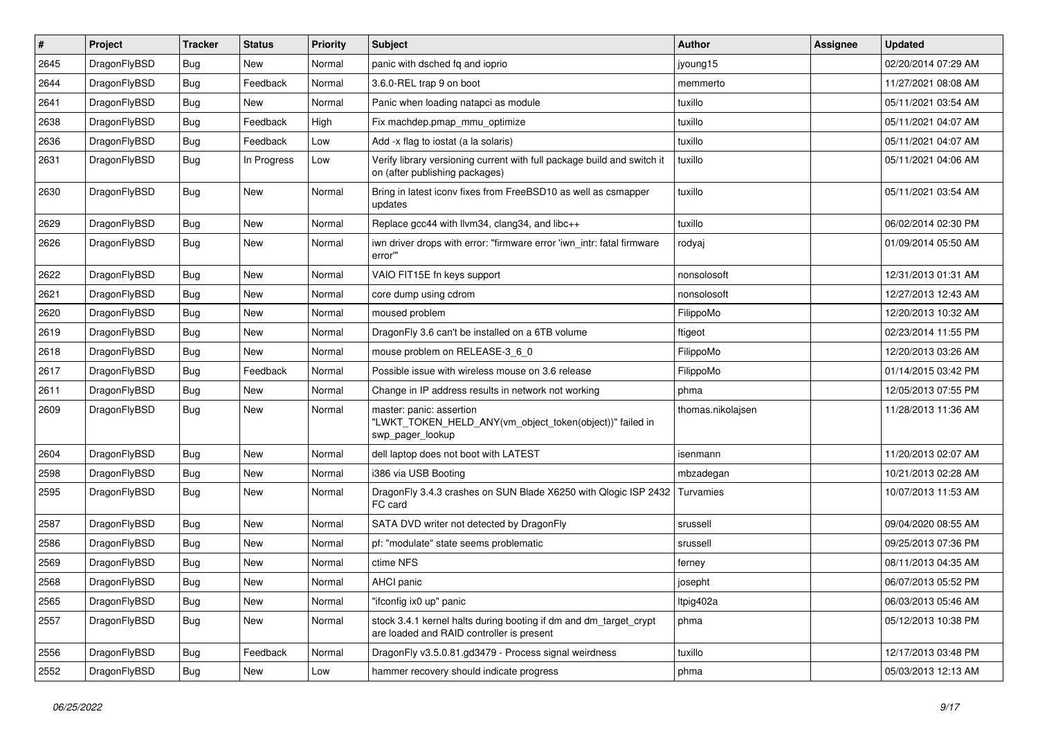| $\vert$ # | Project      | <b>Tracker</b> | <b>Status</b> | <b>Priority</b> | <b>Subject</b>                                                                                                 | Author            | <b>Assignee</b> | <b>Updated</b>      |
|-----------|--------------|----------------|---------------|-----------------|----------------------------------------------------------------------------------------------------------------|-------------------|-----------------|---------------------|
| 2645      | DragonFlyBSD | Bug            | <b>New</b>    | Normal          | panic with dsched fq and ioprio                                                                                | jyoung15          |                 | 02/20/2014 07:29 AM |
| 2644      | DragonFlyBSD | <b>Bug</b>     | Feedback      | Normal          | 3.6.0-REL trap 9 on boot                                                                                       | memmerto          |                 | 11/27/2021 08:08 AM |
| 2641      | DragonFlyBSD | <b>Bug</b>     | <b>New</b>    | Normal          | Panic when loading natapci as module                                                                           | tuxillo           |                 | 05/11/2021 03:54 AM |
| 2638      | DragonFlyBSD | Bug            | Feedback      | High            | Fix machdep.pmap_mmu_optimize                                                                                  | tuxillo           |                 | 05/11/2021 04:07 AM |
| 2636      | DragonFlyBSD | Bug            | Feedback      | Low             | Add -x flag to iostat (a la solaris)                                                                           | tuxillo           |                 | 05/11/2021 04:07 AM |
| 2631      | DragonFlyBSD | Bug            | In Progress   | Low             | Verify library versioning current with full package build and switch it<br>on (after publishing packages)      | tuxillo           |                 | 05/11/2021 04:06 AM |
| 2630      | DragonFlyBSD | <b>Bug</b>     | New           | Normal          | Bring in latest iconv fixes from FreeBSD10 as well as csmapper<br>updates                                      | tuxillo           |                 | 05/11/2021 03:54 AM |
| 2629      | DragonFlyBSD | <b>Bug</b>     | <b>New</b>    | Normal          | Replace gcc44 with llvm34, clang34, and libc++                                                                 | tuxillo           |                 | 06/02/2014 02:30 PM |
| 2626      | DragonFlyBSD | Bug            | <b>New</b>    | Normal          | iwn driver drops with error: "firmware error 'iwn_intr: fatal firmware<br>error""                              | rodyaj            |                 | 01/09/2014 05:50 AM |
| 2622      | DragonFlyBSD | <b>Bug</b>     | New           | Normal          | VAIO FIT15E fn keys support                                                                                    | nonsolosoft       |                 | 12/31/2013 01:31 AM |
| 2621      | DragonFlyBSD | <b>Bug</b>     | <b>New</b>    | Normal          | core dump using cdrom                                                                                          | nonsolosoft       |                 | 12/27/2013 12:43 AM |
| 2620      | DragonFlyBSD | Bug            | <b>New</b>    | Normal          | moused problem                                                                                                 | FilippoMo         |                 | 12/20/2013 10:32 AM |
| 2619      | DragonFlyBSD | Bug            | <b>New</b>    | Normal          | DragonFly 3.6 can't be installed on a 6TB volume                                                               | ftigeot           |                 | 02/23/2014 11:55 PM |
| 2618      | DragonFlyBSD | <b>Bug</b>     | <b>New</b>    | Normal          | mouse problem on RELEASE-3_6_0                                                                                 | FilippoMo         |                 | 12/20/2013 03:26 AM |
| 2617      | DragonFlyBSD | <b>Bug</b>     | Feedback      | Normal          | Possible issue with wireless mouse on 3.6 release                                                              | FilippoMo         |                 | 01/14/2015 03:42 PM |
| 2611      | DragonFlyBSD | <b>Bug</b>     | <b>New</b>    | Normal          | Change in IP address results in network not working                                                            | phma              |                 | 12/05/2013 07:55 PM |
| 2609      | DragonFlyBSD | Bug            | New           | Normal          | master: panic: assertion<br>"LWKT_TOKEN_HELD_ANY(vm_object_token(object))" failed in<br>swp pager lookup       | thomas.nikolajsen |                 | 11/28/2013 11:36 AM |
| 2604      | DragonFlyBSD | Bug            | <b>New</b>    | Normal          | dell laptop does not boot with LATEST                                                                          | isenmann          |                 | 11/20/2013 02:07 AM |
| 2598      | DragonFlyBSD | <b>Bug</b>     | <b>New</b>    | Normal          | i386 via USB Booting                                                                                           | mbzadegan         |                 | 10/21/2013 02:28 AM |
| 2595      | DragonFlyBSD | Bug            | <b>New</b>    | Normal          | DragonFly 3.4.3 crashes on SUN Blade X6250 with Qlogic ISP 2432<br>FC card                                     | Turvamies         |                 | 10/07/2013 11:53 AM |
| 2587      | DragonFlyBSD | <b>Bug</b>     | <b>New</b>    | Normal          | SATA DVD writer not detected by DragonFly                                                                      | srussell          |                 | 09/04/2020 08:55 AM |
| 2586      | DragonFlyBSD | Bug            | <b>New</b>    | Normal          | pf: "modulate" state seems problematic                                                                         | srussell          |                 | 09/25/2013 07:36 PM |
| 2569      | DragonFlyBSD | Bug            | <b>New</b>    | Normal          | ctime NFS                                                                                                      | ferney            |                 | 08/11/2013 04:35 AM |
| 2568      | DragonFlyBSD | Bug            | New           | Normal          | AHCI panic                                                                                                     | josepht           |                 | 06/07/2013 05:52 PM |
| 2565      | DragonFlyBSD | Bug            | New           | Normal          | "ifconfig ix0 up" panic                                                                                        | ltpig402a         |                 | 06/03/2013 05:46 AM |
| 2557      | DragonFlyBSD | <b>Bug</b>     | New           | Normal          | stock 3.4.1 kernel halts during booting if dm and dm_target_crypt<br>are loaded and RAID controller is present | phma              |                 | 05/12/2013 10:38 PM |
| 2556      | DragonFlyBSD | <b>Bug</b>     | Feedback      | Normal          | DragonFly v3.5.0.81.gd3479 - Process signal weirdness                                                          | tuxillo           |                 | 12/17/2013 03:48 PM |
| 2552      | DragonFlyBSD | <b>Bug</b>     | New           | Low             | hammer recovery should indicate progress                                                                       | phma              |                 | 05/03/2013 12:13 AM |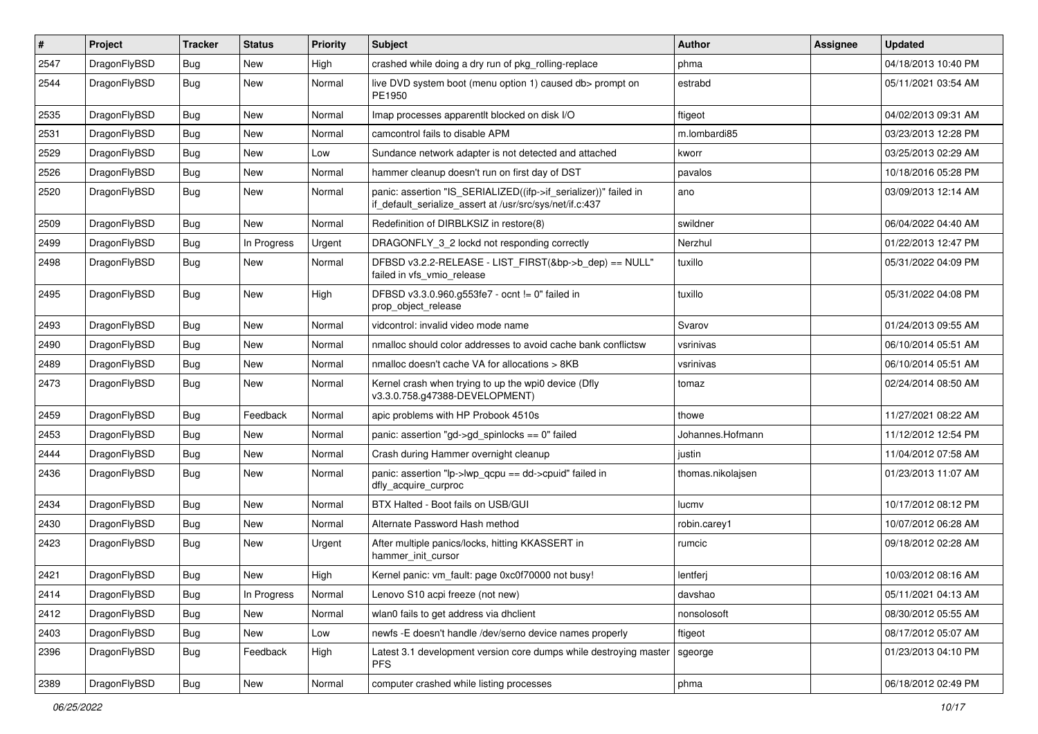| #    | Project      | <b>Tracker</b> | <b>Status</b> | <b>Priority</b> | Subject                                                                                                                      | <b>Author</b>     | Assignee | <b>Updated</b>      |
|------|--------------|----------------|---------------|-----------------|------------------------------------------------------------------------------------------------------------------------------|-------------------|----------|---------------------|
| 2547 | DragonFlyBSD | Bug            | New           | High            | crashed while doing a dry run of pkg_rolling-replace                                                                         | phma              |          | 04/18/2013 10:40 PM |
| 2544 | DragonFlyBSD | <b>Bug</b>     | New           | Normal          | live DVD system boot (menu option 1) caused db> prompt on<br>PE1950                                                          | estrabd           |          | 05/11/2021 03:54 AM |
| 2535 | DragonFlyBSD | <b>Bug</b>     | <b>New</b>    | Normal          | Imap processes apparentlt blocked on disk I/O                                                                                | ftigeot           |          | 04/02/2013 09:31 AM |
| 2531 | DragonFlyBSD | Bug            | <b>New</b>    | Normal          | camcontrol fails to disable APM                                                                                              | m.lombardi85      |          | 03/23/2013 12:28 PM |
| 2529 | DragonFlyBSD | Bug            | New           | Low             | Sundance network adapter is not detected and attached                                                                        | kworr             |          | 03/25/2013 02:29 AM |
| 2526 | DragonFlyBSD | Bug            | New           | Normal          | hammer cleanup doesn't run on first day of DST                                                                               | pavalos           |          | 10/18/2016 05:28 PM |
| 2520 | DragonFlyBSD | Bug            | <b>New</b>    | Normal          | panic: assertion "IS_SERIALIZED((ifp->if_serializer))" failed in<br>if_default_serialize_assert at /usr/src/sys/net/if.c:437 | ano               |          | 03/09/2013 12:14 AM |
| 2509 | DragonFlyBSD | Bug            | New           | Normal          | Redefinition of DIRBLKSIZ in restore(8)                                                                                      | swildner          |          | 06/04/2022 04:40 AM |
| 2499 | DragonFlyBSD | Bug            | In Progress   | Urgent          | DRAGONFLY_3_2 lockd not responding correctly                                                                                 | Nerzhul           |          | 01/22/2013 12:47 PM |
| 2498 | DragonFlyBSD | Bug            | <b>New</b>    | Normal          | DFBSD v3.2.2-RELEASE - LIST_FIRST(&bp->b_dep) == NULL"<br>failed in vfs_vmio_release                                         | tuxillo           |          | 05/31/2022 04:09 PM |
| 2495 | DragonFlyBSD | <b>Bug</b>     | New           | High            | DFBSD v3.3.0.960.g553fe7 - ocnt != 0" failed in<br>prop_object_release                                                       | tuxillo           |          | 05/31/2022 04:08 PM |
| 2493 | DragonFlyBSD | Bug            | <b>New</b>    | Normal          | vidcontrol: invalid video mode name                                                                                          | Svarov            |          | 01/24/2013 09:55 AM |
| 2490 | DragonFlyBSD | Bug            | <b>New</b>    | Normal          | nmalloc should color addresses to avoid cache bank conflictsw                                                                | vsrinivas         |          | 06/10/2014 05:51 AM |
| 2489 | DragonFlyBSD | Bug            | New           | Normal          | nmalloc doesn't cache VA for allocations > 8KB                                                                               | vsrinivas         |          | 06/10/2014 05:51 AM |
| 2473 | DragonFlyBSD | Bug            | <b>New</b>    | Normal          | Kernel crash when trying to up the wpi0 device (Dfly<br>v3.3.0.758.g47388-DEVELOPMENT)                                       | tomaz             |          | 02/24/2014 08:50 AM |
| 2459 | DragonFlyBSD | Bug            | Feedback      | Normal          | apic problems with HP Probook 4510s                                                                                          | thowe             |          | 11/27/2021 08:22 AM |
| 2453 | DragonFlyBSD | Bug            | <b>New</b>    | Normal          | panic: assertion "gd->gd_spinlocks == 0" failed                                                                              | Johannes.Hofmann  |          | 11/12/2012 12:54 PM |
| 2444 | DragonFlyBSD | Bug            | New           | Normal          | Crash during Hammer overnight cleanup                                                                                        | justin            |          | 11/04/2012 07:58 AM |
| 2436 | DragonFlyBSD | Bug            | <b>New</b>    | Normal          | panic: assertion "lp->lwp_qcpu == dd->cpuid" failed in<br>dfly_acquire_curproc                                               | thomas.nikolajsen |          | 01/23/2013 11:07 AM |
| 2434 | DragonFlyBSD | <b>Bug</b>     | New           | Normal          | BTX Halted - Boot fails on USB/GUI                                                                                           | lucmv             |          | 10/17/2012 08:12 PM |
| 2430 | DragonFlyBSD | Bug            | <b>New</b>    | Normal          | Alternate Password Hash method                                                                                               | robin.carey1      |          | 10/07/2012 06:28 AM |
| 2423 | DragonFlyBSD | Bug            | New           | Urgent          | After multiple panics/locks, hitting KKASSERT in<br>hammer init cursor                                                       | rumcic            |          | 09/18/2012 02:28 AM |
| 2421 | DragonFlyBSD | Bug            | <b>New</b>    | High            | Kernel panic: vm_fault: page 0xc0f70000 not busy!                                                                            | lentferj          |          | 10/03/2012 08:16 AM |
| 2414 | DragonFlyBSD | <b>Bug</b>     | In Progress   | Normal          | Lenovo S10 acpi freeze (not new)                                                                                             | davshao           |          | 05/11/2021 04:13 AM |
| 2412 | DragonFlyBSD | <b>Bug</b>     | New           | Normal          | wlan0 fails to get address via dhclient                                                                                      | nonsolosoft       |          | 08/30/2012 05:55 AM |
| 2403 | DragonFlyBSD | Bug            | New           | Low             | newfs -E doesn't handle /dev/serno device names properly                                                                     | ftigeot           |          | 08/17/2012 05:07 AM |
| 2396 | DragonFlyBSD | Bug            | Feedback      | High            | Latest 3.1 development version core dumps while destroying master<br><b>PFS</b>                                              | sgeorge           |          | 01/23/2013 04:10 PM |
| 2389 | DragonFlyBSD | <b>Bug</b>     | New           | Normal          | computer crashed while listing processes                                                                                     | phma              |          | 06/18/2012 02:49 PM |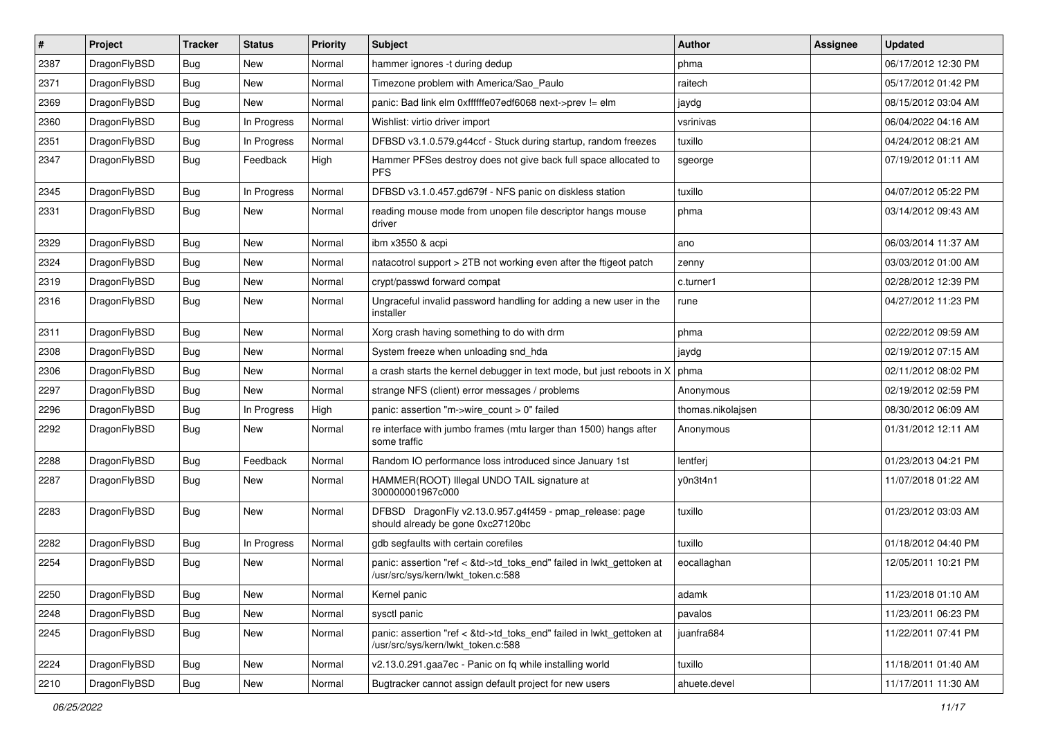| $\vert$ # | Project      | <b>Tracker</b> | <b>Status</b> | <b>Priority</b> | <b>Subject</b>                                                                                             | <b>Author</b>     | Assignee | <b>Updated</b>      |
|-----------|--------------|----------------|---------------|-----------------|------------------------------------------------------------------------------------------------------------|-------------------|----------|---------------------|
| 2387      | DragonFlyBSD | <b>Bug</b>     | <b>New</b>    | Normal          | hammer ignores -t during dedup                                                                             | phma              |          | 06/17/2012 12:30 PM |
| 2371      | DragonFlyBSD | <b>Bug</b>     | <b>New</b>    | Normal          | Timezone problem with America/Sao_Paulo                                                                    | raitech           |          | 05/17/2012 01:42 PM |
| 2369      | DragonFlyBSD | <b>Bug</b>     | New           | Normal          | panic: Bad link elm 0xffffffe07edf6068 next->prev != elm                                                   | jaydg             |          | 08/15/2012 03:04 AM |
| 2360      | DragonFlyBSD | Bug            | In Progress   | Normal          | Wishlist: virtio driver import                                                                             | vsrinivas         |          | 06/04/2022 04:16 AM |
| 2351      | DragonFlyBSD | Bug            | In Progress   | Normal          | DFBSD v3.1.0.579.g44ccf - Stuck during startup, random freezes                                             | tuxillo           |          | 04/24/2012 08:21 AM |
| 2347      | DragonFlyBSD | <b>Bug</b>     | Feedback      | High            | Hammer PFSes destroy does not give back full space allocated to<br><b>PFS</b>                              | sgeorge           |          | 07/19/2012 01:11 AM |
| 2345      | DragonFlyBSD | <b>Bug</b>     | In Progress   | Normal          | DFBSD v3.1.0.457.gd679f - NFS panic on diskless station                                                    | tuxillo           |          | 04/07/2012 05:22 PM |
| 2331      | DragonFlyBSD | <b>Bug</b>     | <b>New</b>    | Normal          | reading mouse mode from unopen file descriptor hangs mouse<br>driver                                       | phma              |          | 03/14/2012 09:43 AM |
| 2329      | DragonFlyBSD | <b>Bug</b>     | <b>New</b>    | Normal          | ibm x3550 & acpi                                                                                           | ano               |          | 06/03/2014 11:37 AM |
| 2324      | DragonFlyBSD | Bug            | <b>New</b>    | Normal          | natacotrol support > 2TB not working even after the ftigeot patch                                          | zenny             |          | 03/03/2012 01:00 AM |
| 2319      | DragonFlyBSD | Bug            | <b>New</b>    | Normal          | crypt/passwd forward compat                                                                                | c.turner1         |          | 02/28/2012 12:39 PM |
| 2316      | DragonFlyBSD | Bug            | New           | Normal          | Ungraceful invalid password handling for adding a new user in the<br>installer                             | rune              |          | 04/27/2012 11:23 PM |
| 2311      | DragonFlyBSD | <b>Bug</b>     | <b>New</b>    | Normal          | Xorg crash having something to do with drm                                                                 | phma              |          | 02/22/2012 09:59 AM |
| 2308      | DragonFlyBSD | <b>Bug</b>     | <b>New</b>    | Normal          | System freeze when unloading snd_hda                                                                       | jaydg             |          | 02/19/2012 07:15 AM |
| 2306      | DragonFlyBSD | Bug            | <b>New</b>    | Normal          | a crash starts the kernel debugger in text mode, but just reboots in X                                     | phma              |          | 02/11/2012 08:02 PM |
| 2297      | DragonFlyBSD | <b>Bug</b>     | New           | Normal          | strange NFS (client) error messages / problems                                                             | Anonymous         |          | 02/19/2012 02:59 PM |
| 2296      | DragonFlyBSD | Bug            | In Progress   | High            | panic: assertion "m->wire_count > 0" failed                                                                | thomas.nikolajsen |          | 08/30/2012 06:09 AM |
| 2292      | DragonFlyBSD | Bug            | New           | Normal          | re interface with jumbo frames (mtu larger than 1500) hangs after<br>some traffic                          | Anonymous         |          | 01/31/2012 12:11 AM |
| 2288      | DragonFlyBSD | Bug            | Feedback      | Normal          | Random IO performance loss introduced since January 1st                                                    | lentferj          |          | 01/23/2013 04:21 PM |
| 2287      | DragonFlyBSD | Bug            | <b>New</b>    | Normal          | HAMMER(ROOT) Illegal UNDO TAIL signature at<br>300000001967c000                                            | y0n3t4n1          |          | 11/07/2018 01:22 AM |
| 2283      | DragonFlyBSD | Bug            | <b>New</b>    | Normal          | DFBSD DragonFly v2.13.0.957.g4f459 - pmap_release: page<br>should already be gone 0xc27120bc               | tuxillo           |          | 01/23/2012 03:03 AM |
| 2282      | DragonFlyBSD | Bug            | In Progress   | Normal          | gdb segfaults with certain corefiles                                                                       | tuxillo           |          | 01/18/2012 04:40 PM |
| 2254      | DragonFlyBSD | <b>Bug</b>     | <b>New</b>    | Normal          | panic: assertion "ref < &td->td_toks_end" failed in lwkt_gettoken at<br>/usr/src/sys/kern/lwkt_token.c:588 | eocallaghan       |          | 12/05/2011 10:21 PM |
| 2250      | DragonFlyBSD | <b>Bug</b>     | New           | Normal          | Kernel panic                                                                                               | adamk             |          | 11/23/2018 01:10 AM |
| 2248      | DragonFlyBSD | <b>Bug</b>     | New           | Normal          | sysctl panic                                                                                               | pavalos           |          | 11/23/2011 06:23 PM |
| 2245      | DragonFlyBSD | <b>Bug</b>     | New           | Normal          | panic: assertion "ref < &td->td toks end" failed in lwkt gettoken at<br>/usr/src/sys/kern/lwkt token.c:588 | juanfra684        |          | 11/22/2011 07:41 PM |
| 2224      | DragonFlyBSD | <b>Bug</b>     | New           | Normal          | v2.13.0.291.gaa7ec - Panic on fq while installing world                                                    | tuxillo           |          | 11/18/2011 01:40 AM |
| 2210      | DragonFlyBSD | <b>Bug</b>     | New           | Normal          | Bugtracker cannot assign default project for new users                                                     | ahuete.devel      |          | 11/17/2011 11:30 AM |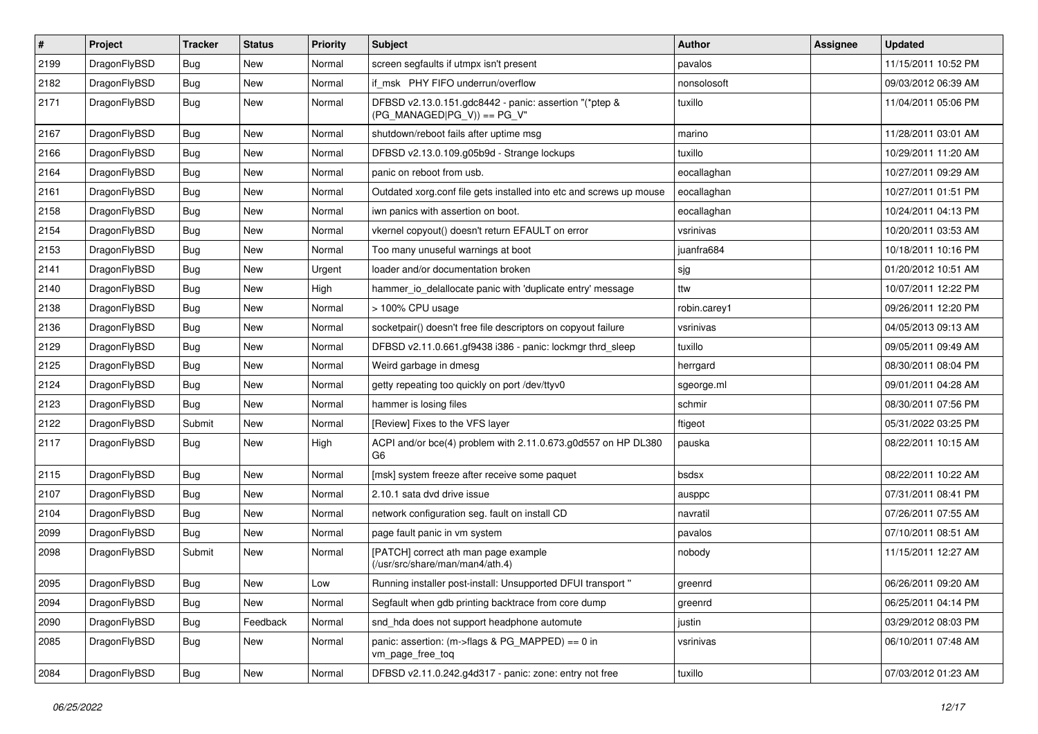| $\sharp$ | Project      | <b>Tracker</b> | <b>Status</b> | <b>Priority</b> | Subject                                                                                | Author       | Assignee | <b>Updated</b>      |
|----------|--------------|----------------|---------------|-----------------|----------------------------------------------------------------------------------------|--------------|----------|---------------------|
| 2199     | DragonFlyBSD | Bug            | New           | Normal          | screen segfaults if utmpx isn't present                                                | pavalos      |          | 11/15/2011 10:52 PM |
| 2182     | DragonFlyBSD | Bug            | <b>New</b>    | Normal          | if msk PHY FIFO underrun/overflow                                                      | nonsolosoft  |          | 09/03/2012 06:39 AM |
| 2171     | DragonFlyBSD | Bug            | New           | Normal          | DFBSD v2.13.0.151.gdc8442 - panic: assertion "(*ptep &<br>$(PG_MANAGED PG_V)$ == PG_V" | tuxillo      |          | 11/04/2011 05:06 PM |
| 2167     | DragonFlyBSD | Bug            | <b>New</b>    | Normal          | shutdown/reboot fails after uptime msg                                                 | marino       |          | 11/28/2011 03:01 AM |
| 2166     | DragonFlyBSD | Bug            | <b>New</b>    | Normal          | DFBSD v2.13.0.109.g05b9d - Strange lockups                                             | tuxillo      |          | 10/29/2011 11:20 AM |
| 2164     | DragonFlyBSD | Bug            | <b>New</b>    | Normal          | panic on reboot from usb.                                                              | eocallaghan  |          | 10/27/2011 09:29 AM |
| 2161     | DragonFlyBSD | Bug            | <b>New</b>    | Normal          | Outdated xorg.conf file gets installed into etc and screws up mouse                    | eocallaghan  |          | 10/27/2011 01:51 PM |
| 2158     | DragonFlyBSD | Bug            | New           | Normal          | iwn panics with assertion on boot.                                                     | eocallaghan  |          | 10/24/2011 04:13 PM |
| 2154     | DragonFlyBSD | Bug            | <b>New</b>    | Normal          | vkernel copyout() doesn't return EFAULT on error                                       | vsrinivas    |          | 10/20/2011 03:53 AM |
| 2153     | DragonFlyBSD | Bug            | New           | Normal          | Too many unuseful warnings at boot                                                     | juanfra684   |          | 10/18/2011 10:16 PM |
| 2141     | DragonFlyBSD | Bug            | New           | Urgent          | loader and/or documentation broken                                                     | sjg          |          | 01/20/2012 10:51 AM |
| 2140     | DragonFlyBSD | Bug            | <b>New</b>    | High            | hammer_io_delallocate panic with 'duplicate entry' message                             | ttw          |          | 10/07/2011 12:22 PM |
| 2138     | DragonFlyBSD | <b>Bug</b>     | New           | Normal          | > 100% CPU usage                                                                       | robin.carey1 |          | 09/26/2011 12:20 PM |
| 2136     | DragonFlyBSD | Bug            | New           | Normal          | socketpair() doesn't free file descriptors on copyout failure                          | vsrinivas    |          | 04/05/2013 09:13 AM |
| 2129     | DragonFlyBSD | Bug            | New           | Normal          | DFBSD v2.11.0.661.gf9438 i386 - panic: lockmgr thrd sleep                              | tuxillo      |          | 09/05/2011 09:49 AM |
| 2125     | DragonFlyBSD | Bug            | <b>New</b>    | Normal          | Weird garbage in dmesg                                                                 | herrgard     |          | 08/30/2011 08:04 PM |
| 2124     | DragonFlyBSD | Bug            | New           | Normal          | getty repeating too quickly on port /dev/ttyv0                                         | sgeorge.ml   |          | 09/01/2011 04:28 AM |
| 2123     | DragonFlyBSD | <b>Bug</b>     | New           | Normal          | hammer is losing files                                                                 | schmir       |          | 08/30/2011 07:56 PM |
| 2122     | DragonFlyBSD | Submit         | New           | Normal          | [Review] Fixes to the VFS layer                                                        | ftigeot      |          | 05/31/2022 03:25 PM |
| 2117     | DragonFlyBSD | Bug            | New           | High            | ACPI and/or bce(4) problem with 2.11.0.673.g0d557 on HP DL380<br>G6                    | pauska       |          | 08/22/2011 10:15 AM |
| 2115     | DragonFlyBSD | Bug            | <b>New</b>    | Normal          | [msk] system freeze after receive some paquet                                          | bsdsx        |          | 08/22/2011 10:22 AM |
| 2107     | DragonFlyBSD | Bug            | New           | Normal          | 2.10.1 sata dvd drive issue                                                            | ausppc       |          | 07/31/2011 08:41 PM |
| 2104     | DragonFlyBSD | Bug            | <b>New</b>    | Normal          | network configuration seg. fault on install CD                                         | navratil     |          | 07/26/2011 07:55 AM |
| 2099     | DragonFlyBSD | Bug            | New           | Normal          | page fault panic in vm system                                                          | pavalos      |          | 07/10/2011 08:51 AM |
| 2098     | DragonFlyBSD | Submit         | New           | Normal          | [PATCH] correct ath man page example<br>(/usr/src/share/man/man4/ath.4)                | nobody       |          | 11/15/2011 12:27 AM |
| 2095     | DragonFlyBSD | Bug            | New           | Low             | Running installer post-install: Unsupported DFUI transport "                           | greenrd      |          | 06/26/2011 09:20 AM |
| 2094     | DragonFlyBSD | <b>Bug</b>     | New           | Normal          | Segfault when gdb printing backtrace from core dump                                    | greenrd      |          | 06/25/2011 04:14 PM |
| 2090     | DragonFlyBSD | <b>Bug</b>     | Feedback      | Normal          | snd_hda does not support headphone automute                                            | justin       |          | 03/29/2012 08:03 PM |
| 2085     | DragonFlyBSD | Bug            | New           | Normal          | panic: assertion: (m->flags & PG_MAPPED) == 0 in<br>vm_page_free_toq                   | vsrinivas    |          | 06/10/2011 07:48 AM |
| 2084     | DragonFlyBSD | <b>Bug</b>     | New           | Normal          | DFBSD v2.11.0.242.g4d317 - panic: zone: entry not free                                 | tuxillo      |          | 07/03/2012 01:23 AM |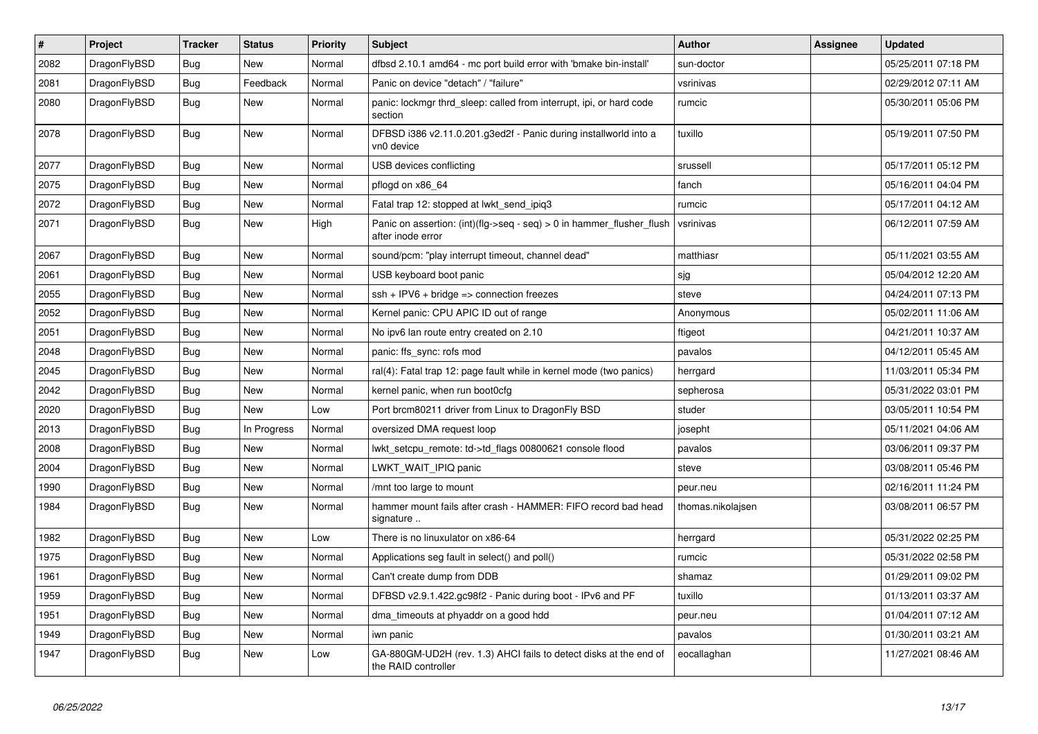| $\vert$ # | <b>Project</b> | <b>Tracker</b> | <b>Status</b> | <b>Priority</b> | <b>Subject</b>                                                                             | <b>Author</b>     | <b>Assignee</b> | <b>Updated</b>      |
|-----------|----------------|----------------|---------------|-----------------|--------------------------------------------------------------------------------------------|-------------------|-----------------|---------------------|
| 2082      | DragonFlyBSD   | Bug            | <b>New</b>    | Normal          | dfbsd 2.10.1 amd64 - mc port build error with 'bmake bin-install'                          | sun-doctor        |                 | 05/25/2011 07:18 PM |
| 2081      | DragonFlyBSD   | Bug            | Feedback      | Normal          | Panic on device "detach" / "failure"                                                       | vsrinivas         |                 | 02/29/2012 07:11 AM |
| 2080      | DragonFlyBSD   | <b>Bug</b>     | <b>New</b>    | Normal          | panic: lockmgr thrd sleep: called from interrupt, ipi, or hard code<br>section             | rumcic            |                 | 05/30/2011 05:06 PM |
| 2078      | DragonFlyBSD   | <b>Bug</b>     | New           | Normal          | DFBSD i386 v2.11.0.201.g3ed2f - Panic during installworld into a<br>vn0 device             | tuxillo           |                 | 05/19/2011 07:50 PM |
| 2077      | DragonFlyBSD   | <b>Bug</b>     | <b>New</b>    | Normal          | USB devices conflicting                                                                    | srussell          |                 | 05/17/2011 05:12 PM |
| 2075      | DragonFlyBSD   | Bug            | <b>New</b>    | Normal          | pflogd on x86 64                                                                           | fanch             |                 | 05/16/2011 04:04 PM |
| 2072      | DragonFlyBSD   | <b>Bug</b>     | <b>New</b>    | Normal          | Fatal trap 12: stopped at lwkt_send_ipiq3                                                  | rumcic            |                 | 05/17/2011 04:12 AM |
| 2071      | DragonFlyBSD   | Bug            | New           | High            | Panic on assertion: (int)(flg->seq - seq) > 0 in hammer_flusher_flush<br>after inode error | vsrinivas         |                 | 06/12/2011 07:59 AM |
| 2067      | DragonFlyBSD   | <b>Bug</b>     | <b>New</b>    | Normal          | sound/pcm: "play interrupt timeout, channel dead"                                          | matthiasr         |                 | 05/11/2021 03:55 AM |
| 2061      | DragonFlyBSD   | Bug            | <b>New</b>    | Normal          | USB keyboard boot panic                                                                    | sjg               |                 | 05/04/2012 12:20 AM |
| 2055      | DragonFlyBSD   | <b>Bug</b>     | <b>New</b>    | Normal          | ssh + IPV6 + bridge => connection freezes                                                  | steve             |                 | 04/24/2011 07:13 PM |
| 2052      | DragonFlyBSD   | Bug            | <b>New</b>    | Normal          | Kernel panic: CPU APIC ID out of range                                                     | Anonymous         |                 | 05/02/2011 11:06 AM |
| 2051      | DragonFlyBSD   | Bug            | <b>New</b>    | Normal          | No ipv6 lan route entry created on 2.10                                                    | ftigeot           |                 | 04/21/2011 10:37 AM |
| 2048      | DragonFlyBSD   | <b>Bug</b>     | <b>New</b>    | Normal          | panic: ffs sync: rofs mod                                                                  | pavalos           |                 | 04/12/2011 05:45 AM |
| 2045      | DragonFlyBSD   | <b>Bug</b>     | <b>New</b>    | Normal          | ral(4): Fatal trap 12: page fault while in kernel mode (two panics)                        | herrgard          |                 | 11/03/2011 05:34 PM |
| 2042      | DragonFlyBSD   | <b>Bug</b>     | <b>New</b>    | Normal          | kernel panic, when run boot0cfg                                                            | sepherosa         |                 | 05/31/2022 03:01 PM |
| 2020      | DragonFlyBSD   | Bug            | <b>New</b>    | Low             | Port brcm80211 driver from Linux to DragonFly BSD                                          | studer            |                 | 03/05/2011 10:54 PM |
| 2013      | DragonFlyBSD   | Bug            | In Progress   | Normal          | oversized DMA request loop                                                                 | josepht           |                 | 05/11/2021 04:06 AM |
| 2008      | DragonFlyBSD   | <b>Bug</b>     | <b>New</b>    | Normal          | lwkt setcpu remote: td->td flags 00800621 console flood                                    | pavalos           |                 | 03/06/2011 09:37 PM |
| 2004      | DragonFlyBSD   | <b>Bug</b>     | <b>New</b>    | Normal          | LWKT_WAIT_IPIQ panic                                                                       | steve             |                 | 03/08/2011 05:46 PM |
| 1990      | DragonFlyBSD   | <b>Bug</b>     | <b>New</b>    | Normal          | /mnt too large to mount                                                                    | peur.neu          |                 | 02/16/2011 11:24 PM |
| 1984      | DragonFlyBSD   | Bug            | <b>New</b>    | Normal          | hammer mount fails after crash - HAMMER: FIFO record bad head<br>signature                 | thomas.nikolajsen |                 | 03/08/2011 06:57 PM |
| 1982      | DragonFlyBSD   | Bug            | <b>New</b>    | Low             | There is no linuxulator on x86-64                                                          | herrgard          |                 | 05/31/2022 02:25 PM |
| 1975      | DragonFlyBSD   | <b>Bug</b>     | <b>New</b>    | Normal          | Applications seg fault in select() and poll()                                              | rumcic            |                 | 05/31/2022 02:58 PM |
| 1961      | DragonFlyBSD   | Bug            | <b>New</b>    | Normal          | Can't create dump from DDB                                                                 | shamaz            |                 | 01/29/2011 09:02 PM |
| 1959      | DragonFlyBSD   | <b>Bug</b>     | <b>New</b>    | Normal          | DFBSD v2.9.1.422.gc98f2 - Panic during boot - IPv6 and PF                                  | tuxillo           |                 | 01/13/2011 03:37 AM |
| 1951      | DragonFlyBSD   | Bug            | <b>New</b>    | Normal          | dma timeouts at phyaddr on a good hdd                                                      | peur.neu          |                 | 01/04/2011 07:12 AM |
| 1949      | DragonFlyBSD   | Bug            | New           | Normal          | iwn panic                                                                                  | pavalos           |                 | 01/30/2011 03:21 AM |
| 1947      | DragonFlyBSD   | Bug            | <b>New</b>    | Low             | GA-880GM-UD2H (rev. 1.3) AHCI fails to detect disks at the end of<br>the RAID controller   | eocallaghan       |                 | 11/27/2021 08:46 AM |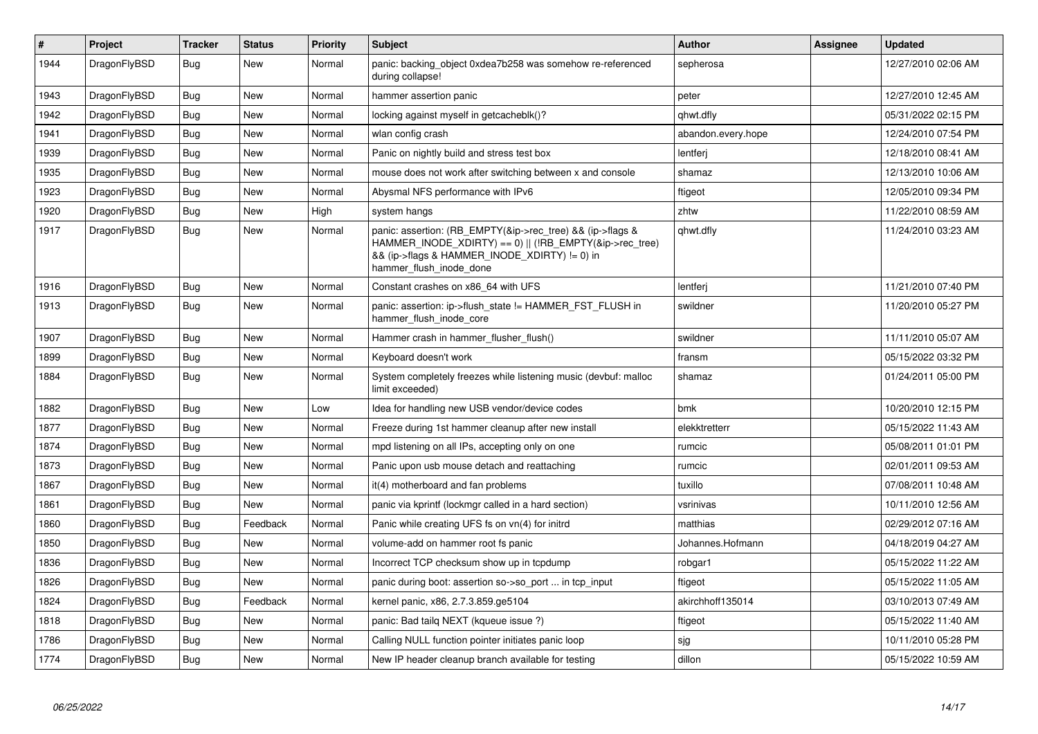| $\vert$ # | Project      | Tracker    | <b>Status</b> | <b>Priority</b> | <b>Subject</b>                                                                                                                                                                                    | <b>Author</b>      | Assignee | <b>Updated</b>      |
|-----------|--------------|------------|---------------|-----------------|---------------------------------------------------------------------------------------------------------------------------------------------------------------------------------------------------|--------------------|----------|---------------------|
| 1944      | DragonFlyBSD | Bug        | <b>New</b>    | Normal          | panic: backing object 0xdea7b258 was somehow re-referenced<br>during collapse!                                                                                                                    | sepherosa          |          | 12/27/2010 02:06 AM |
| 1943      | DragonFlyBSD | Bug        | New           | Normal          | hammer assertion panic                                                                                                                                                                            | peter              |          | 12/27/2010 12:45 AM |
| 1942      | DragonFlyBSD | <b>Bug</b> | <b>New</b>    | Normal          | locking against myself in getcacheblk()?                                                                                                                                                          | qhwt.dfly          |          | 05/31/2022 02:15 PM |
| 1941      | DragonFlyBSD | Bug        | New           | Normal          | wlan config crash                                                                                                                                                                                 | abandon.every.hope |          | 12/24/2010 07:54 PM |
| 1939      | DragonFlyBSD | <b>Bug</b> | <b>New</b>    | Normal          | Panic on nightly build and stress test box                                                                                                                                                        | lentferj           |          | 12/18/2010 08:41 AM |
| 1935      | DragonFlyBSD | Bug        | New           | Normal          | mouse does not work after switching between x and console                                                                                                                                         | shamaz             |          | 12/13/2010 10:06 AM |
| 1923      | DragonFlyBSD | <b>Bug</b> | <b>New</b>    | Normal          | Abysmal NFS performance with IPv6                                                                                                                                                                 | ftigeot            |          | 12/05/2010 09:34 PM |
| 1920      | DragonFlyBSD | <b>Bug</b> | <b>New</b>    | High            | system hangs                                                                                                                                                                                      | zhtw               |          | 11/22/2010 08:59 AM |
| 1917      | DragonFlyBSD | <b>Bug</b> | <b>New</b>    | Normal          | panic: assertion: (RB_EMPTY(&ip->rec_tree) && (ip->flags &<br>HAMMER INODE XDIRTY) == 0)    (!RB EMPTY(&ip->rec tree)<br>&& (ip->flags & HAMMER INODE XDIRTY) != 0) in<br>hammer_flush_inode_done | qhwt.dfly          |          | 11/24/2010 03:23 AM |
| 1916      | DragonFlyBSD | <b>Bug</b> | New           | Normal          | Constant crashes on x86 64 with UFS                                                                                                                                                               | lentferi           |          | 11/21/2010 07:40 PM |
| 1913      | DragonFlyBSD | <b>Bug</b> | <b>New</b>    | Normal          | panic: assertion: ip->flush state != HAMMER FST FLUSH in<br>hammer flush inode core                                                                                                               | swildner           |          | 11/20/2010 05:27 PM |
| 1907      | DragonFlyBSD | Bug        | <b>New</b>    | Normal          | Hammer crash in hammer flusher flush()                                                                                                                                                            | swildner           |          | 11/11/2010 05:07 AM |
| 1899      | DragonFlyBSD | <b>Bug</b> | <b>New</b>    | Normal          | Keyboard doesn't work                                                                                                                                                                             | fransm             |          | 05/15/2022 03:32 PM |
| 1884      | DragonFlyBSD | <b>Bug</b> | <b>New</b>    | Normal          | System completely freezes while listening music (devbuf: malloc<br>limit exceeded)                                                                                                                | shamaz             |          | 01/24/2011 05:00 PM |
| 1882      | DragonFlyBSD | <b>Bug</b> | <b>New</b>    | Low             | Idea for handling new USB vendor/device codes                                                                                                                                                     | bmk                |          | 10/20/2010 12:15 PM |
| 1877      | DragonFlyBSD | Bug        | <b>New</b>    | Normal          | Freeze during 1st hammer cleanup after new install                                                                                                                                                | elekktretterr      |          | 05/15/2022 11:43 AM |
| 1874      | DragonFlyBSD | <b>Bug</b> | <b>New</b>    | Normal          | mpd listening on all IPs, accepting only on one                                                                                                                                                   | rumcic             |          | 05/08/2011 01:01 PM |
| 1873      | DragonFlyBSD | Bug        | <b>New</b>    | Normal          | Panic upon usb mouse detach and reattaching                                                                                                                                                       | rumcic             |          | 02/01/2011 09:53 AM |
| 1867      | DragonFlyBSD | Bug        | <b>New</b>    | Normal          | it(4) motherboard and fan problems                                                                                                                                                                | tuxillo            |          | 07/08/2011 10:48 AM |
| 1861      | DragonFlyBSD | <b>Bug</b> | New           | Normal          | panic via kprintf (lockmgr called in a hard section)                                                                                                                                              | vsrinivas          |          | 10/11/2010 12:56 AM |
| 1860      | DragonFlyBSD | <b>Bug</b> | Feedback      | Normal          | Panic while creating UFS fs on vn(4) for initrd                                                                                                                                                   | matthias           |          | 02/29/2012 07:16 AM |
| 1850      | DragonFlyBSD | <b>Bug</b> | <b>New</b>    | Normal          | volume-add on hammer root fs panic                                                                                                                                                                | Johannes.Hofmann   |          | 04/18/2019 04:27 AM |
| 1836      | DragonFlyBSD | Bug        | <b>New</b>    | Normal          | Incorrect TCP checksum show up in tcpdump                                                                                                                                                         | robgar1            |          | 05/15/2022 11:22 AM |
| 1826      | DragonFlyBSD | <b>Bug</b> | <b>New</b>    | Normal          | panic during boot: assertion so->so_port  in tcp_input                                                                                                                                            | ftigeot            |          | 05/15/2022 11:05 AM |
| 1824      | DragonFlyBSD | Bug        | Feedback      | Normal          | kernel panic, x86, 2.7.3.859.ge5104                                                                                                                                                               | akirchhoff135014   |          | 03/10/2013 07:49 AM |
| 1818      | DragonFlyBSD | <b>Bug</b> | <b>New</b>    | Normal          | panic: Bad tailq NEXT (kqueue issue ?)                                                                                                                                                            | ftigeot            |          | 05/15/2022 11:40 AM |
| 1786      | DragonFlyBSD | Bug        | <b>New</b>    | Normal          | Calling NULL function pointer initiates panic loop                                                                                                                                                | sjg                |          | 10/11/2010 05:28 PM |
| 1774      | DragonFlyBSD | <b>Bug</b> | <b>New</b>    | Normal          | New IP header cleanup branch available for testing                                                                                                                                                | dillon             |          | 05/15/2022 10:59 AM |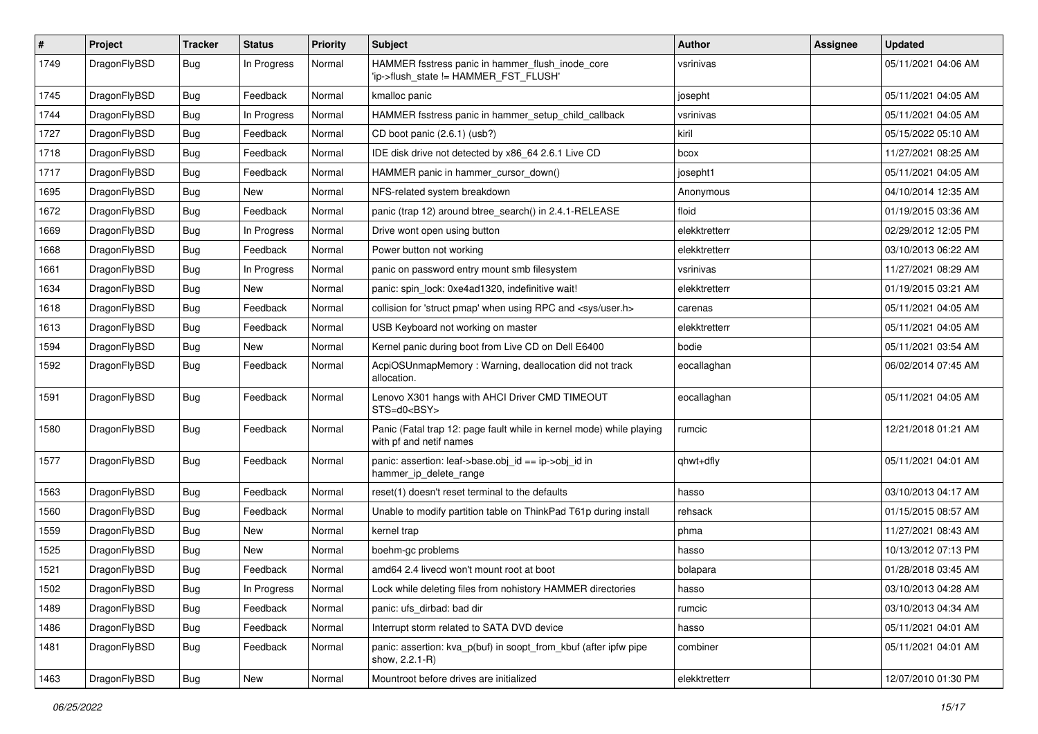| $\pmb{\#}$ | Project      | <b>Tracker</b> | <b>Status</b> | <b>Priority</b> | <b>Subject</b>                                                                                  | Author        | Assignee | <b>Updated</b>      |
|------------|--------------|----------------|---------------|-----------------|-------------------------------------------------------------------------------------------------|---------------|----------|---------------------|
| 1749       | DragonFlyBSD | Bug            | In Progress   | Normal          | HAMMER fsstress panic in hammer_flush_inode_core<br>'ip->flush_state != HAMMER_FST_FLUSH'       | vsrinivas     |          | 05/11/2021 04:06 AM |
| 1745       | DragonFlyBSD | <b>Bug</b>     | Feedback      | Normal          | kmalloc panic                                                                                   | josepht       |          | 05/11/2021 04:05 AM |
| 1744       | DragonFlyBSD | Bug            | In Progress   | Normal          | HAMMER fsstress panic in hammer_setup_child_callback                                            | vsrinivas     |          | 05/11/2021 04:05 AM |
| 1727       | DragonFlyBSD | <b>Bug</b>     | Feedback      | Normal          | CD boot panic (2.6.1) (usb?)                                                                    | kiril         |          | 05/15/2022 05:10 AM |
| 1718       | DragonFlyBSD | <b>Bug</b>     | Feedback      | Normal          | IDE disk drive not detected by x86_64 2.6.1 Live CD                                             | bcox          |          | 11/27/2021 08:25 AM |
| 1717       | DragonFlyBSD | Bug            | Feedback      | Normal          | HAMMER panic in hammer_cursor_down()                                                            | josepht1      |          | 05/11/2021 04:05 AM |
| 1695       | DragonFlyBSD | <b>Bug</b>     | New           | Normal          | NFS-related system breakdown                                                                    | Anonymous     |          | 04/10/2014 12:35 AM |
| 1672       | DragonFlyBSD | <b>Bug</b>     | Feedback      | Normal          | panic (trap 12) around btree_search() in 2.4.1-RELEASE                                          | floid         |          | 01/19/2015 03:36 AM |
| 1669       | DragonFlyBSD | Bug            | In Progress   | Normal          | Drive wont open using button                                                                    | elekktretterr |          | 02/29/2012 12:05 PM |
| 1668       | DragonFlyBSD | <b>Bug</b>     | Feedback      | Normal          | Power button not working                                                                        | elekktretterr |          | 03/10/2013 06:22 AM |
| 1661       | DragonFlyBSD | Bug            | In Progress   | Normal          | panic on password entry mount smb filesystem                                                    | vsrinivas     |          | 11/27/2021 08:29 AM |
| 1634       | DragonFlyBSD | <b>Bug</b>     | New           | Normal          | panic: spin_lock: 0xe4ad1320, indefinitive wait!                                                | elekktretterr |          | 01/19/2015 03:21 AM |
| 1618       | DragonFlyBSD | Bug            | Feedback      | Normal          | collision for 'struct pmap' when using RPC and <sys user.h=""></sys>                            | carenas       |          | 05/11/2021 04:05 AM |
| 1613       | DragonFlyBSD | <b>Bug</b>     | Feedback      | Normal          | USB Keyboard not working on master                                                              | elekktretterr |          | 05/11/2021 04:05 AM |
| 1594       | DragonFlyBSD | <b>Bug</b>     | New           | Normal          | Kernel panic during boot from Live CD on Dell E6400                                             | bodie         |          | 05/11/2021 03:54 AM |
| 1592       | DragonFlyBSD | Bug            | Feedback      | Normal          | AcpiOSUnmapMemory: Warning, deallocation did not track<br>allocation.                           | eocallaghan   |          | 06/02/2014 07:45 AM |
| 1591       | DragonFlyBSD | Bug            | Feedback      | Normal          | Lenovo X301 hangs with AHCI Driver CMD TIMEOUT<br>STS=d0 <bsy></bsy>                            | eocallaghan   |          | 05/11/2021 04:05 AM |
| 1580       | DragonFlyBSD | Bug            | Feedback      | Normal          | Panic (Fatal trap 12: page fault while in kernel mode) while playing<br>with pf and netif names | rumcic        |          | 12/21/2018 01:21 AM |
| 1577       | DragonFlyBSD | <b>Bug</b>     | Feedback      | Normal          | panic: assertion: leaf->base.obj_id == ip->obj_id in<br>hammer_ip_delete_range                  | qhwt+dfly     |          | 05/11/2021 04:01 AM |
| 1563       | DragonFlyBSD | Bug            | Feedback      | Normal          | reset(1) doesn't reset terminal to the defaults                                                 | hasso         |          | 03/10/2013 04:17 AM |
| 1560       | DragonFlyBSD | <b>Bug</b>     | Feedback      | Normal          | Unable to modify partition table on ThinkPad T61p during install                                | rehsack       |          | 01/15/2015 08:57 AM |
| 1559       | DragonFlyBSD | <b>Bug</b>     | New           | Normal          | kernel trap                                                                                     | phma          |          | 11/27/2021 08:43 AM |
| 1525       | DragonFlyBSD | Bug            | <b>New</b>    | Normal          | boehm-gc problems                                                                               | hasso         |          | 10/13/2012 07:13 PM |
| 1521       | DragonFlyBSD | <b>Bug</b>     | Feedback      | Normal          | amd64 2.4 livecd won't mount root at boot                                                       | bolapara      |          | 01/28/2018 03:45 AM |
| 1502       | DragonFlyBSD | Bug            | In Progress   | Normal          | Lock while deleting files from nohistory HAMMER directories                                     | nasso         |          | 03/10/2013 04:28 AM |
| 1489       | DragonFlyBSD | <b>Bug</b>     | Feedback      | Normal          | panic: ufs_dirbad: bad dir                                                                      | rumcic        |          | 03/10/2013 04:34 AM |
| 1486       | DragonFlyBSD | <b>Bug</b>     | Feedback      | Normal          | Interrupt storm related to SATA DVD device                                                      | hasso         |          | 05/11/2021 04:01 AM |
| 1481       | DragonFlyBSD | Bug            | Feedback      | Normal          | panic: assertion: kva_p(buf) in soopt_from_kbuf (after ipfw pipe<br>show, 2.2.1-R)              | combiner      |          | 05/11/2021 04:01 AM |
| 1463       | DragonFlyBSD | Bug            | New           | Normal          | Mountroot before drives are initialized                                                         | elekktretterr |          | 12/07/2010 01:30 PM |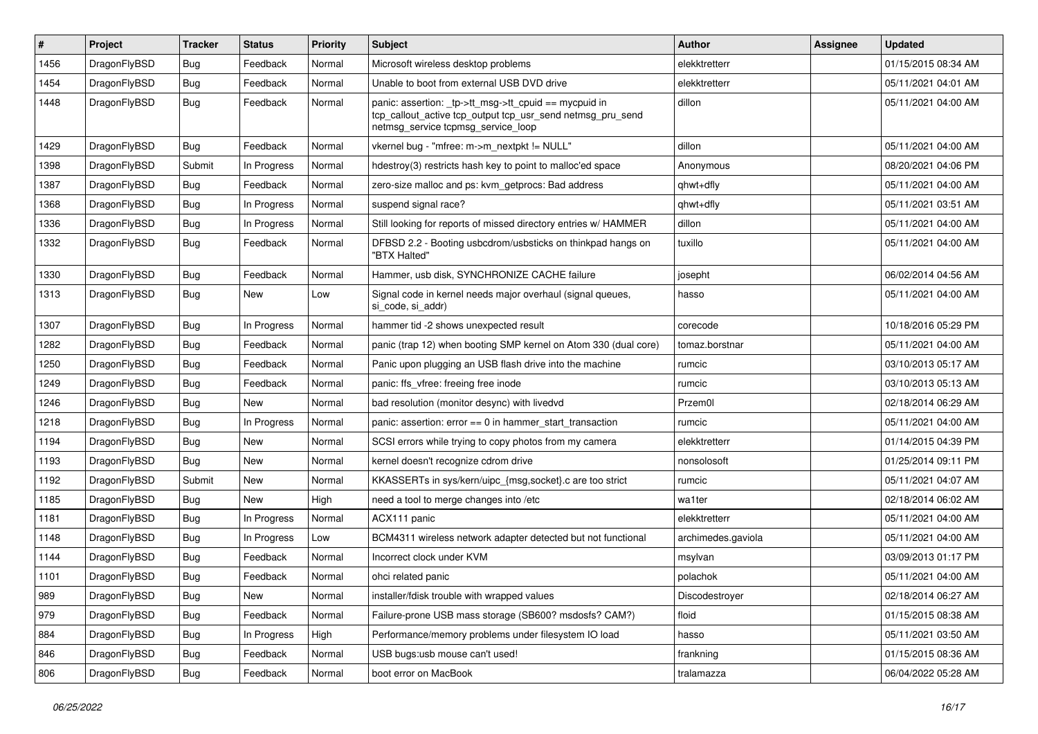| #    | Project      | <b>Tracker</b> | <b>Status</b> | <b>Priority</b> | Subject                                                                                                                                                   | Author             | <b>Assignee</b> | <b>Updated</b>      |
|------|--------------|----------------|---------------|-----------------|-----------------------------------------------------------------------------------------------------------------------------------------------------------|--------------------|-----------------|---------------------|
| 1456 | DragonFlyBSD | Bug            | Feedback      | Normal          | Microsoft wireless desktop problems                                                                                                                       | elekktretterr      |                 | 01/15/2015 08:34 AM |
| 1454 | DragonFlyBSD | <b>Bug</b>     | Feedback      | Normal          | Unable to boot from external USB DVD drive                                                                                                                | elekktretterr      |                 | 05/11/2021 04:01 AM |
| 1448 | DragonFlyBSD | <b>Bug</b>     | Feedback      | Normal          | panic: assertion: _tp->tt_msg->tt_cpuid == mycpuid in<br>tcp_callout_active tcp_output tcp_usr_send netmsg_pru_send<br>netmsg_service tcpmsg_service_loop | dillon             |                 | 05/11/2021 04:00 AM |
| 1429 | DragonFlyBSD | <b>Bug</b>     | Feedback      | Normal          | vkernel bug - "mfree: m->m_nextpkt != NULL"                                                                                                               | dillon             |                 | 05/11/2021 04:00 AM |
| 1398 | DragonFlyBSD | Submit         | In Progress   | Normal          | hdestroy(3) restricts hash key to point to malloc'ed space                                                                                                | Anonymous          |                 | 08/20/2021 04:06 PM |
| 1387 | DragonFlyBSD | <b>Bug</b>     | Feedback      | Normal          | zero-size malloc and ps: kvm getprocs: Bad address                                                                                                        | ghwt+dfly          |                 | 05/11/2021 04:00 AM |
| 1368 | DragonFlyBSD | <b>Bug</b>     | In Progress   | Normal          | suspend signal race?                                                                                                                                      | qhwt+dfly          |                 | 05/11/2021 03:51 AM |
| 1336 | DragonFlyBSD | <b>Bug</b>     | In Progress   | Normal          | Still looking for reports of missed directory entries w/ HAMMER                                                                                           | dillon             |                 | 05/11/2021 04:00 AM |
| 1332 | DragonFlyBSD | <b>Bug</b>     | Feedback      | Normal          | DFBSD 2.2 - Booting usbcdrom/usbsticks on thinkpad hangs on<br>"BTX Halted"                                                                               | tuxillo            |                 | 05/11/2021 04:00 AM |
| 1330 | DragonFlyBSD | Bug            | Feedback      | Normal          | Hammer, usb disk, SYNCHRONIZE CACHE failure                                                                                                               | josepht            |                 | 06/02/2014 04:56 AM |
| 1313 | DragonFlyBSD | <b>Bug</b>     | New           | Low             | Signal code in kernel needs major overhaul (signal queues,<br>si_code, si_addr)                                                                           | hasso              |                 | 05/11/2021 04:00 AM |
| 1307 | DragonFlyBSD | Bug            | In Progress   | Normal          | hammer tid -2 shows unexpected result                                                                                                                     | corecode           |                 | 10/18/2016 05:29 PM |
| 1282 | DragonFlyBSD | <b>Bug</b>     | Feedback      | Normal          | panic (trap 12) when booting SMP kernel on Atom 330 (dual core)                                                                                           | tomaz.borstnar     |                 | 05/11/2021 04:00 AM |
| 1250 | DragonFlyBSD | <b>Bug</b>     | Feedback      | Normal          | Panic upon plugging an USB flash drive into the machine                                                                                                   | rumcic             |                 | 03/10/2013 05:17 AM |
| 1249 | DragonFlyBSD | <b>Bug</b>     | Feedback      | Normal          | panic: ffs vfree: freeing free inode                                                                                                                      | rumcic             |                 | 03/10/2013 05:13 AM |
| 1246 | DragonFlyBSD | Bug            | New           | Normal          | bad resolution (monitor desync) with livedvd                                                                                                              | Przem0l            |                 | 02/18/2014 06:29 AM |
| 1218 | DragonFlyBSD | <b>Bug</b>     | In Progress   | Normal          | panic: assertion: $error == 0$ in hammer start transaction                                                                                                | rumcic             |                 | 05/11/2021 04:00 AM |
| 1194 | DragonFlyBSD | Bug            | New           | Normal          | SCSI errors while trying to copy photos from my camera                                                                                                    | elekktretterr      |                 | 01/14/2015 04:39 PM |
| 1193 | DragonFlyBSD | <b>Bug</b>     | <b>New</b>    | Normal          | kernel doesn't recognize cdrom drive                                                                                                                      | nonsolosoft        |                 | 01/25/2014 09:11 PM |
| 1192 | DragonFlyBSD | Submit         | New           | Normal          | KKASSERTs in sys/kern/uipc_{msg,socket}.c are too strict                                                                                                  | rumcic             |                 | 05/11/2021 04:07 AM |
| 1185 | DragonFlyBSD | Bug            | New           | High            | need a tool to merge changes into /etc                                                                                                                    | wa1ter             |                 | 02/18/2014 06:02 AM |
| 1181 | DragonFlyBSD | <b>Bug</b>     | In Progress   | Normal          | ACX111 panic                                                                                                                                              | elekktretterr      |                 | 05/11/2021 04:00 AM |
| 1148 | DragonFlyBSD | <b>Bug</b>     | In Progress   | Low             | BCM4311 wireless network adapter detected but not functional                                                                                              | archimedes.gaviola |                 | 05/11/2021 04:00 AM |
| 1144 | DragonFlyBSD | <b>Bug</b>     | Feedback      | Normal          | Incorrect clock under KVM                                                                                                                                 | msylvan            |                 | 03/09/2013 01:17 PM |
| 1101 | DragonFlyBSD | <b>Bug</b>     | Feedback      | Normal          | ohci related panic                                                                                                                                        | polachok           |                 | 05/11/2021 04:00 AM |
| 989  | DragonFlyBSD | <b>Bug</b>     | New           | Normal          | installer/fdisk trouble with wrapped values                                                                                                               | Discodestroyer     |                 | 02/18/2014 06:27 AM |
| 979  | DragonFlyBSD | Bug            | Feedback      | Normal          | Failure-prone USB mass storage (SB600? msdosfs? CAM?)                                                                                                     | floid              |                 | 01/15/2015 08:38 AM |
| 884  | DragonFlyBSD | <b>Bug</b>     | In Progress   | High            | Performance/memory problems under filesystem IO load                                                                                                      | hasso              |                 | 05/11/2021 03:50 AM |
| 846  | DragonFlyBSD | <b>Bug</b>     | Feedback      | Normal          | USB bugs:usb mouse can't used!                                                                                                                            | frankning          |                 | 01/15/2015 08:36 AM |
| 806  | DragonFlyBSD | <b>Bug</b>     | Feedback      | Normal          | boot error on MacBook                                                                                                                                     | tralamazza         |                 | 06/04/2022 05:28 AM |